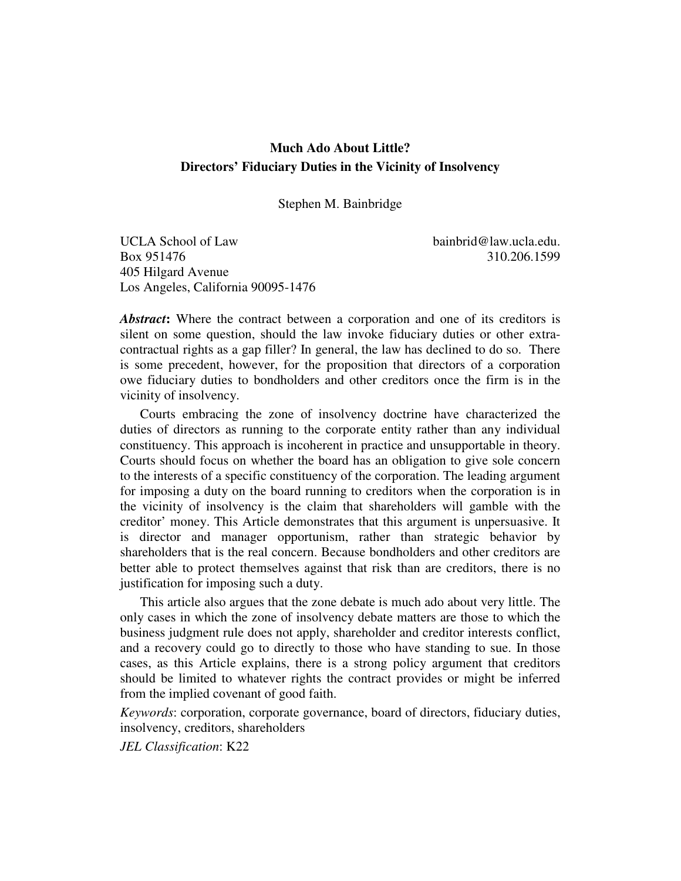# **Much Ado About Little? Directors' Fiduciary Duties in the Vicinity of Insolvency**

Stephen M. Bainbridge

UCLA School of Law bainbrid@law.ucla.edu. Box 951476 310.206.1599 405 Hilgard Avenue Los Angeles, California 90095-1476

*Abstract***:** Where the contract between a corporation and one of its creditors is silent on some question, should the law invoke fiduciary duties or other extracontractual rights as a gap filler? In general, the law has declined to do so. There is some precedent, however, for the proposition that directors of a corporation owe fiduciary duties to bondholders and other creditors once the firm is in the vicinity of insolvency.

Courts embracing the zone of insolvency doctrine have characterized the duties of directors as running to the corporate entity rather than any individual constituency. This approach is incoherent in practice and unsupportable in theory. Courts should focus on whether the board has an obligation to give sole concern to the interests of a specific constituency of the corporation. The leading argument for imposing a duty on the board running to creditors when the corporation is in the vicinity of insolvency is the claim that shareholders will gamble with the creditor' money. This Article demonstrates that this argument is unpersuasive. It is director and manager opportunism, rather than strategic behavior by shareholders that is the real concern. Because bondholders and other creditors are better able to protect themselves against that risk than are creditors, there is no justification for imposing such a duty.

This article also argues that the zone debate is much ado about very little. The only cases in which the zone of insolvency debate matters are those to which the business judgment rule does not apply, shareholder and creditor interests conflict, and a recovery could go to directly to those who have standing to sue. In those cases, as this Article explains, there is a strong policy argument that creditors should be limited to whatever rights the contract provides or might be inferred from the implied covenant of good faith.

*Keywords*: corporation, corporate governance, board of directors, fiduciary duties, insolvency, creditors, shareholders

*JEL Classification*: K22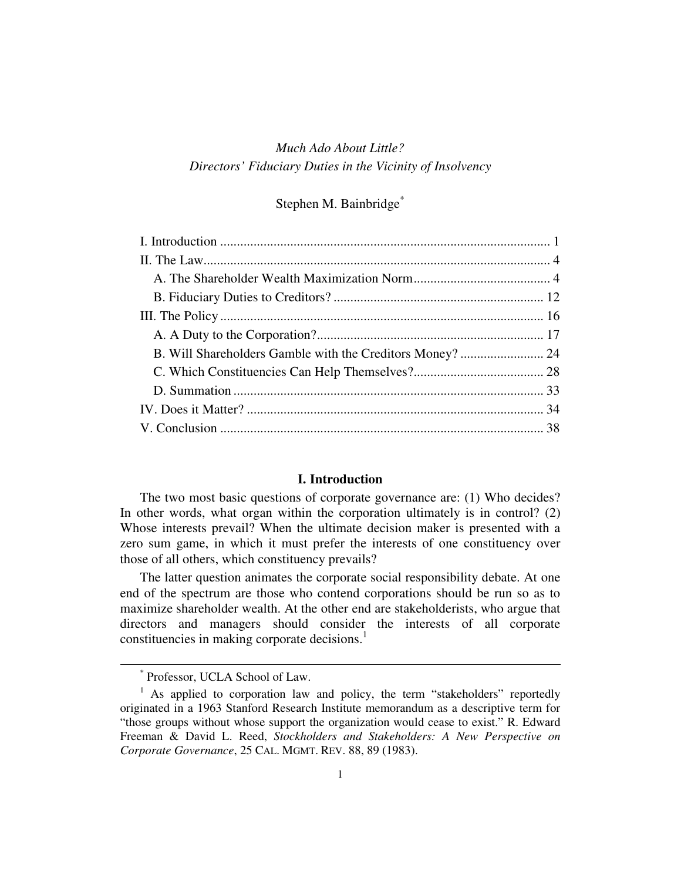# *Much Ado About Little? Directors' Fiduciary Duties in the Vicinity of Insolvency*

# Stephen M. Bainbridge\*

| B. Will Shareholders Gamble with the Creditors Money?  24 |  |
|-----------------------------------------------------------|--|
|                                                           |  |
|                                                           |  |
|                                                           |  |
|                                                           |  |
|                                                           |  |

## **I. Introduction**

The two most basic questions of corporate governance are: (1) Who decides? In other words, what organ within the corporation ultimately is in control? (2) Whose interests prevail? When the ultimate decision maker is presented with a zero sum game, in which it must prefer the interests of one constituency over those of all others, which constituency prevails?

The latter question animates the corporate social responsibility debate. At one end of the spectrum are those who contend corporations should be run so as to maximize shareholder wealth. At the other end are stakeholderists, who argue that directors and managers should consider the interests of all corporate constituencies in making corporate decisions. 1

<sup>\*</sup> Professor, UCLA School of Law.

<sup>&</sup>lt;sup>1</sup> As applied to corporation law and policy, the term "stakeholders" reportedly originated in a 1963 Stanford Research Institute memorandum as a descriptive term for "those groups without whose support the organization would cease to exist." R. Edward Freeman & David L. Reed, *Stockholders and Stakeholders: A New Perspective on Corporate Governance*, 25 CAL. MGMT. REV. 88, 89 (1983).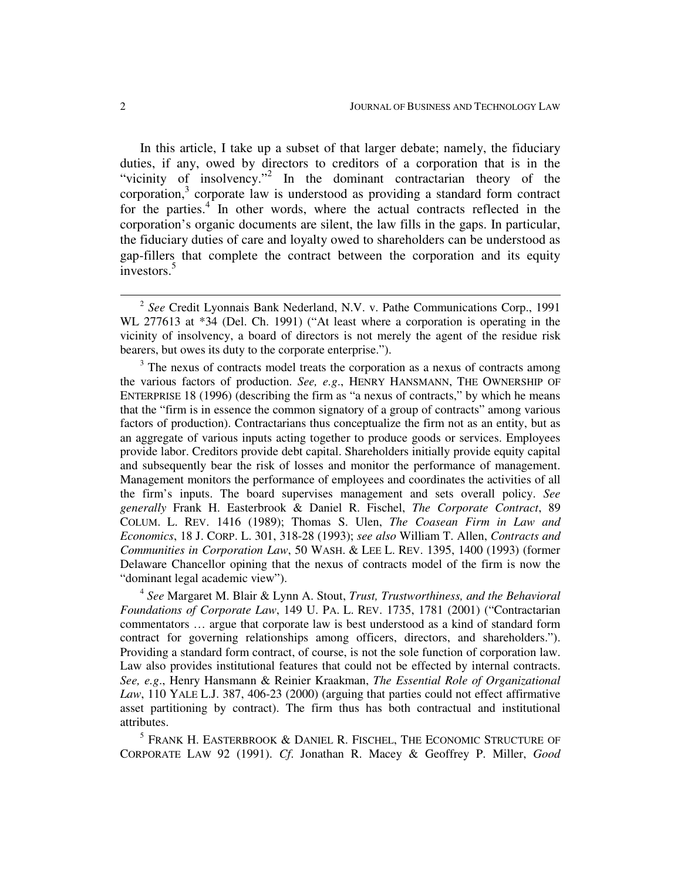In this article, I take up a subset of that larger debate; namely, the fiduciary duties, if any, owed by directors to creditors of a corporation that is in the "vicinity of insolvency."<sup>2</sup> In the dominant contractarian theory of the corporation, $3$  corporate law is understood as providing a standard form contract for the parties.<sup>4</sup> In other words, where the actual contracts reflected in the corporation's organic documents are silent, the law fills in the gaps. In particular, the fiduciary duties of care and loyalty owed to shareholders can be understood as gap-fillers that complete the contract between the corporation and its equity investors. 5

<sup>3</sup> The nexus of contracts model treats the corporation as a nexus of contracts among the various factors of production. *See, e.g*., HENRY HANSMANN, THE OWNERSHIP OF ENTERPRISE 18 (1996) (describing the firm as "a nexus of contracts," by which he means that the "firm is in essence the common signatory of a group of contracts" among various factors of production). Contractarians thus conceptualize the firm not as an entity, but as an aggregate of various inputs acting together to produce goods or services. Employees provide labor. Creditors provide debt capital. Shareholders initially provide equity capital and subsequently bear the risk of losses and monitor the performance of management. Management monitors the performance of employees and coordinates the activities of all the firm's inputs. The board supervises management and sets overall policy. *See generally* Frank H. Easterbrook & Daniel R. Fischel, *The Corporate Contract*, 89 COLUM. L. REV. 1416 (1989); Thomas S. Ulen, *The Coasean Firm in Law and Economics*, 18 J. CORP. L. 301, 318-28 (1993); *see also* William T. Allen, *Contracts and Communities in Corporation Law*, 50 WASH. & LEE L. REV. 1395, 1400 (1993) (former Delaware Chancellor opining that the nexus of contracts model of the firm is now the "dominant legal academic view").

4 *See* Margaret M. Blair & Lynn A. Stout, *Trust, Trustworthiness, and the Behavioral Foundations of Corporate Law*, 149 U. PA. L. REV. 1735, 1781 (2001) ("Contractarian commentators … argue that corporate law is best understood as a kind of standard form contract for governing relationships among officers, directors, and shareholders."). Providing a standard form contract, of course, is not the sole function of corporation law. Law also provides institutional features that could not be effected by internal contracts. *See, e.g*., Henry Hansmann & Reinier Kraakman, *The Essential Role of Organizational Law*, 110 YALE L.J. 387, 406-23 (2000) (arguing that parties could not effect affirmative asset partitioning by contract). The firm thus has both contractual and institutional attributes.

 $^5$  Frank H. Easterbrook & Daniel R. Fischel, The Economic Structure of CORPORATE LAW 92 (1991). *Cf*. Jonathan R. Macey & Geoffrey P. Miller, *Good*

<sup>2</sup> *See* Credit Lyonnais Bank Nederland, N.V. v. Pathe Communications Corp., 1991 WL 277613 at \*34 (Del. Ch. 1991) ("At least where a corporation is operating in the vicinity of insolvency, a board of directors is not merely the agent of the residue risk bearers, but owes its duty to the corporate enterprise.").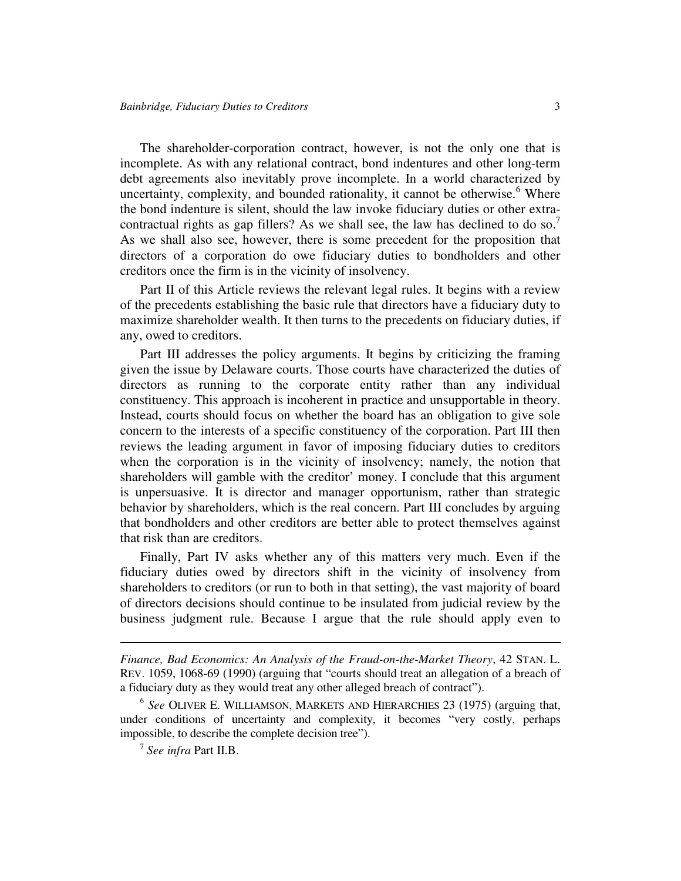The shareholder-corporation contract, however, is not the only one that is incomplete. As with any relational contract, bond indentures and other long-term debt agreements also inevitably prove incomplete. In a world characterized by uncertainty, complexity, and bounded rationality, it cannot be otherwise.<sup>6</sup> Where the bond indenture is silent, should the law invoke fiduciary duties or other extracontractual rights as gap fillers? As we shall see, the law has declined to do so.<sup>7</sup> As we shall also see, however, there is some precedent for the proposition that directors of a corporation do owe fiduciary duties to bondholders and other creditors once the firm is in the vicinity of insolvency.

Part II of this Article reviews the relevant legal rules. It begins with a review of the precedents establishing the basic rule that directors have a fiduciary duty to maximize shareholder wealth. It then turns to the precedents on fiduciary duties, if any, owed to creditors.

Part III addresses the policy arguments. It begins by criticizing the framing given the issue by Delaware courts. Those courts have characterized the duties of directors as running to the corporate entity rather than any individual constituency. This approach is incoherent in practice and unsupportable in theory. Instead, courts should focus on whether the board has an obligation to give sole concern to the interests of a specific constituency of the corporation. Part III then reviews the leading argument in favor of imposing fiduciary duties to creditors when the corporation is in the vicinity of insolvency; namely, the notion that shareholders will gamble with the creditor' money. I conclude that this argument is unpersuasive. It is director and manager opportunism, rather than strategic behavior by shareholders, which is the real concern. Part III concludes by arguing that bondholders and other creditors are better able to protect themselves against that risk than are creditors.

Finally, Part IV asks whether any of this matters very much. Even if the fiduciary duties owed by directors shift in the vicinity of insolvency from shareholders to creditors (or run to both in that setting), the vast majority of board of directors decisions should continue to be insulated from judicial review by the business judgment rule. Because I argue that the rule should apply even to

*Finance, Bad Economics: An Analysis of the Fraud-on-the-Market Theory*, 42 STAN. L. REV. 1059, 1068-69 (1990) (arguing that "courts should treat an allegation of a breach of a fiduciary duty as they would treat any other alleged breach of contract").

<sup>6</sup> *See* OLIVER E. WILLIAMSON, MARKETS AND HIERARCHIES 23 (1975) (arguing that, under conditions of uncertainty and complexity, it becomes "very costly, perhaps impossible, to describe the complete decision tree").

<sup>7</sup> *See infra* Part II.B.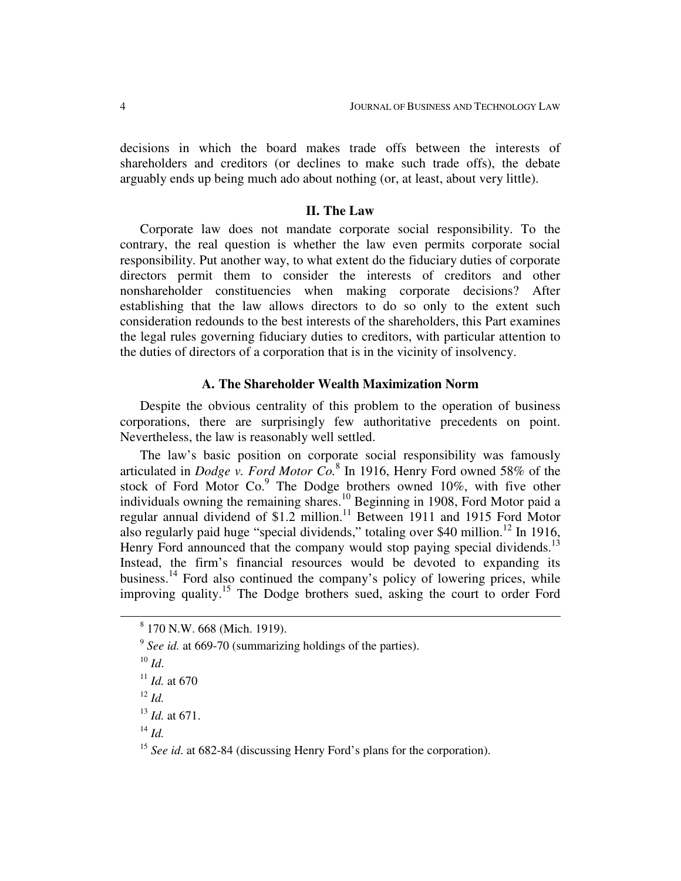decisions in which the board makes trade offs between the interests of shareholders and creditors (or declines to make such trade offs), the debate arguably ends up being much ado about nothing (or, at least, about very little).

# **II. The Law**

Corporate law does not mandate corporate social responsibility. To the contrary, the real question is whether the law even permits corporate social responsibility. Put another way, to what extent do the fiduciary duties of corporate directors permit them to consider the interests of creditors and other nonshareholder constituencies when making corporate decisions? After establishing that the law allows directors to do so only to the extent such consideration redounds to the best interests of the shareholders, this Part examines the legal rules governing fiduciary duties to creditors, with particular attention to the duties of directors of a corporation that is in the vicinity of insolvency.

### **A. The Shareholder Wealth Maximization Norm**

Despite the obvious centrality of this problem to the operation of business corporations, there are surprisingly few authoritative precedents on point. Nevertheless, the law is reasonably well settled.

The law's basic position on corporate social responsibility was famously articulated in *Dodge v. Ford Motor Co.* 8 In 1916, Henry Ford owned 58% of the stock of Ford Motor Co.<sup>9</sup> The Dodge brothers owned 10%, with five other individuals owning the remaining shares. <sup>10</sup> Beginning in 1908, Ford Motor paid a regular annual dividend of \$1.2 million.<sup>11</sup> Between 1911 and 1915 Ford Motor also regularly paid huge "special dividends," totaling over \$40 million.<sup>12</sup> In 1916, Henry Ford announced that the company would stop paying special dividends.<sup>13</sup> Instead, the firm's financial resources would be devoted to expanding its business.<sup>14</sup> Ford also continued the company's policy of lowering prices, while improving quality.<sup>15</sup> The Dodge brothers sued, asking the court to order Ford

12 *Id.*

14 *Id.*

<sup>8</sup> 170 N.W. 668 (Mich. 1919).

<sup>&</sup>lt;sup>9</sup> See id. at 669-70 (summarizing holdings of the parties).

<sup>10</sup> *Id*.

 $11$  *Id.* at 670

<sup>13</sup> *Id.* at 671.

<sup>&</sup>lt;sup>15</sup> See id. at 682-84 (discussing Henry Ford's plans for the corporation).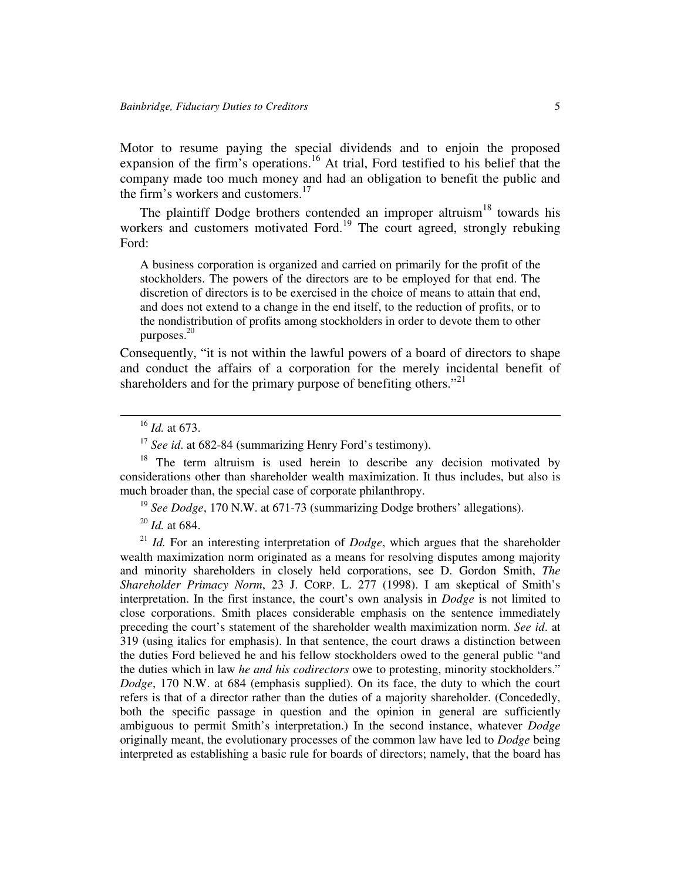Motor to resume paying the special dividends and to enjoin the proposed expansion of the firm's operations.<sup>16</sup> At trial, Ford testified to his belief that the company made too much money and had an obligation to benefit the public and the firm's workers and customers.<sup>17</sup>

The plaintiff Dodge brothers contended an improper altruism<sup>18</sup> towards his workers and customers motivated Ford.<sup>19</sup> The court agreed, strongly rebuking Ford:

A business corporation is organized and carried on primarily for the profit of the stockholders. The powers of the directors are to be employed for that end. The discretion of directors is to be exercised in the choice of means to attain that end, and does not extend to a change in the end itself, to the reduction of profits, or to the nondistribution of profits among stockholders in order to devote them to other purposes. 20

Consequently, "it is not within the lawful powers of a board of directors to shape and conduct the affairs of a corporation for the merely incidental benefit of shareholders and for the primary purpose of benefiting others."<sup>21</sup>

<sup>18</sup> The term altruism is used herein to describe any decision motivated by considerations other than shareholder wealth maximization. It thus includes, but also is much broader than, the special case of corporate philanthropy.

<sup>19</sup> See Dodge, 170 N.W. at 671-73 (summarizing Dodge brothers' allegations).

20 *Id.* at 684.

<sup>21</sup> *Id.* For an interesting interpretation of *Dodge*, which argues that the shareholder wealth maximization norm originated as a means for resolving disputes among majority and minority shareholders in closely held corporations, see D. Gordon Smith, *The Shareholder Primacy Norm*, 23 J. CORP. L. 277 (1998). I am skeptical of Smith's interpretation. In the first instance, the court's own analysis in *Dodge* is not limited to close corporations. Smith places considerable emphasis on the sentence immediately preceding the court's statement of the shareholder wealth maximization norm. *See id*. at 319 (using italics for emphasis). In that sentence, the court draws a distinction between the duties Ford believed he and his fellow stockholders owed to the general public "and the duties which in law *he and his codirectors* owe to protesting, minority stockholders." *Dodge*, 170 N.W. at 684 (emphasis supplied). On its face, the duty to which the court refers is that of a director rather than the duties of a majority shareholder. (Concededly, both the specific passage in question and the opinion in general are sufficiently ambiguous to permit Smith's interpretation.) In the second instance, whatever *Dodge* originally meant, the evolutionary processes of the common law have led to *Dodge* being interpreted as establishing a basic rule for boards of directors; namely, that the board has

<sup>16</sup> *Id.* at 673.

<sup>&</sup>lt;sup>17</sup> See id. at 682-84 (summarizing Henry Ford's testimony).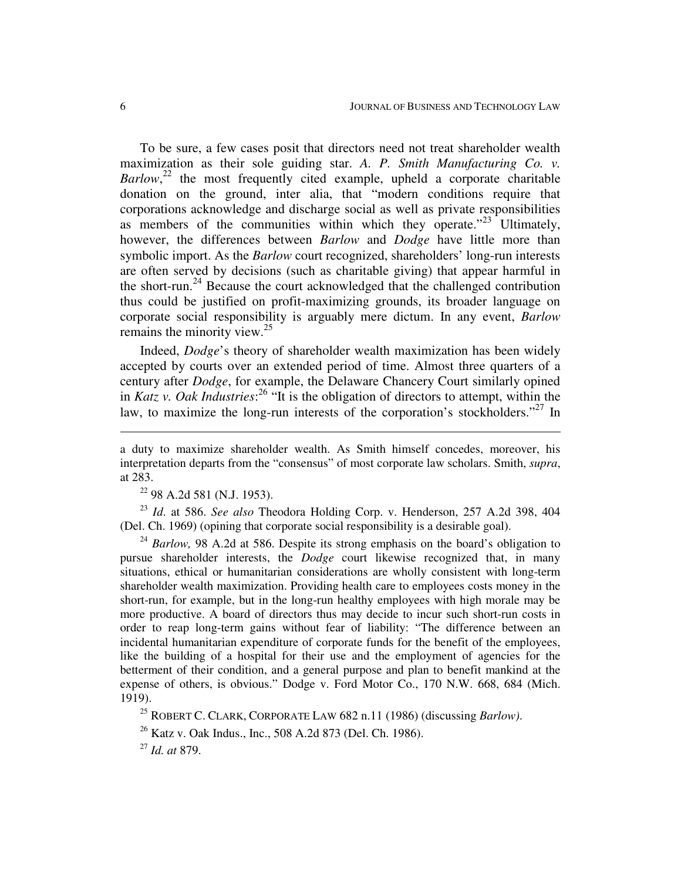To be sure, a few cases posit that directors need not treat shareholder wealth maximization as their sole guiding star. *A. P. Smith Manufacturing Co. v.* Barlow,<sup>22</sup> the most frequently cited example, upheld a corporate charitable donation on the ground, inter alia, that "modern conditions require that corporations acknowledge and discharge social as well as private responsibilities as members of the communities within which they operate."<sup>23</sup> Ultimately, however, the differences between *Barlow* and *Dodge* have little more than symbolic import. As the *Barlow* court recognized, shareholders' long-run interests are often served by decisions (such as charitable giving) that appear harmful in the short-run.<sup>24</sup> Because the court acknowledged that the challenged contribution thus could be justified on profit-maximizing grounds, its broader language on corporate social responsibility is arguably mere dictum. In any event, *Barlow* remains the minority view. 25

Indeed, *Dodge*'s theory of shareholder wealth maximization has been widely accepted by courts over an extended period of time. Almost three quarters of a century after *Dodge*, for example, the Delaware Chancery Court similarly opined in *Katz v. Oak Industries*: 26 "It is the obligation of directors to attempt, within the law, to maximize the long-run interests of the corporation's stockholders."<sup>27</sup> In

<sup>22</sup> 98 A.2d 581 (N.J. 1953).

23 *Id*. at 586. *See also* Theodora Holding Corp. v. Henderson, 257 A.2d 398, 404 (Del. Ch. 1969) (opining that corporate social responsibility is a desirable goal).

<sup>24</sup> *Barlow*, 98 A.2d at 586. Despite its strong emphasis on the board's obligation to pursue shareholder interests, the *Dodge* court likewise recognized that, in many situations, ethical or humanitarian considerations are wholly consistent with long-term shareholder wealth maximization. Providing health care to employees costs money in the short-run, for example, but in the long-run healthy employees with high morale may be more productive. A board of directors thus may decide to incur such short-run costs in order to reap long-term gains without fear of liability: "The difference between an incidental humanitarian expenditure of corporate funds for the benefit of the employees, like the building of a hospital for their use and the employment of agencies for the betterment of their condition, and a general purpose and plan to benefit mankind at the expense of others, is obvious." Dodge v. Ford Motor Co., 170 N.W. 668, 684 (Mich. 1919).

<sup>25</sup> ROBERT C. CLARK, CORPORATE LAW 682 n.11 (1986) (discussing *Barlow)*.

<sup>26</sup> Katz v. Oak Indus., Inc., 508 A.2d 873 (Del. Ch. 1986).

27 *Id. at* 879.

a duty to maximize shareholder wealth. As Smith himself concedes, moreover, his interpretation departs from the "consensus" of most corporate law scholars. Smith, *supra*, at 283.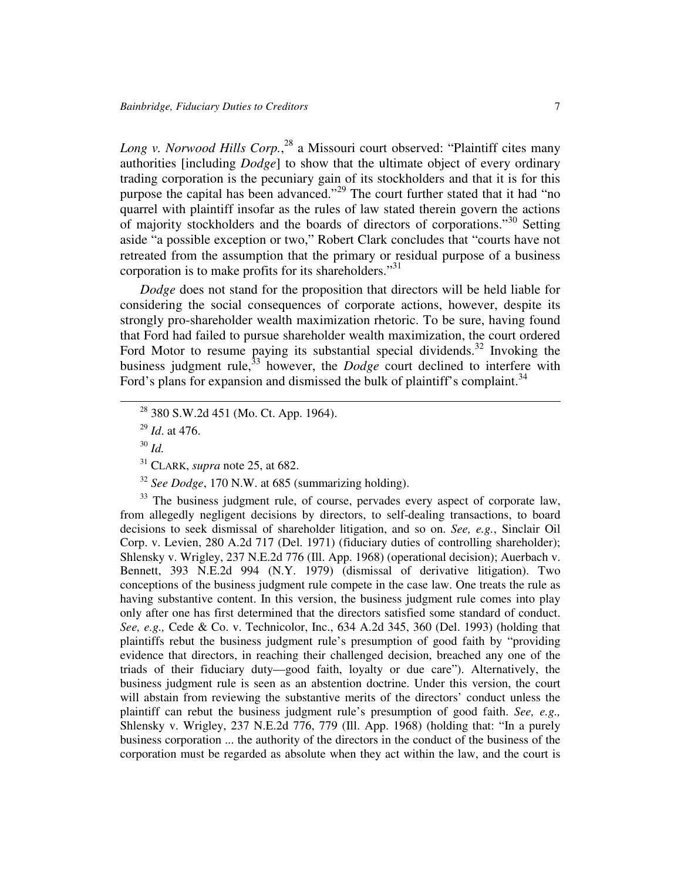*Long v. Norwood Hills Corp.*, 28 a Missouri court observed: "Plaintiff cites many authorities [including *Dodge*] to show that the ultimate object of every ordinary trading corporation is the pecuniary gain of its stockholders and that it is for this purpose the capital has been advanced."<sup>29</sup> The court further stated that it had "no quarrel with plaintiff insofar as the rules of law stated therein govern the actions of majority stockholders and the boards of directors of corporations."<sup>30</sup> Setting aside "a possible exception or two," Robert Clark concludes that "courts have not retreated from the assumption that the primary or residual purpose of a business corporation is to make profits for its shareholders."<sup>31</sup>

*Dodge* does not stand for the proposition that directors will be held liable for considering the social consequences of corporate actions, however, despite its strongly pro-shareholder wealth maximization rhetoric. To be sure, having found that Ford had failed to pursue shareholder wealth maximization, the court ordered Ford Motor to resume paying its substantial special dividends.<sup>32</sup> Invoking the business judgment rule, 33 however, the *Dodge* court declined to interfere with Ford's plans for expansion and dismissed the bulk of plaintiff's complaint.<sup>34</sup>

32 *See Dodge*, 170 N.W. at 685 (summarizing holding).

<sup>33</sup> The business judgment rule, of course, pervades every aspect of corporate law, from allegedly negligent decisions by directors, to self-dealing transactions, to board decisions to seek dismissal of shareholder litigation, and so on. *See, e.g.*, Sinclair Oil Corp. v. Levien, 280 A.2d 717 (Del. 1971) (fiduciary duties of controlling shareholder); Shlensky v. Wrigley, 237 N.E.2d 776 (Ill. App. 1968) (operational decision); Auerbach v. Bennett, 393 N.E.2d 994 (N.Y. 1979) (dismissal of derivative litigation). Two conceptions of the business judgment rule compete in the case law. One treats the rule as having substantive content. In this version, the business judgment rule comes into play only after one has first determined that the directors satisfied some standard of conduct. *See, e.g.,* Cede & Co. v. Technicolor, Inc., 634 A.2d 345, 360 (Del. 1993) (holding that plaintiffs rebut the business judgment rule's presumption of good faith by "providing evidence that directors, in reaching their challenged decision, breached any one of the triads of their fiduciary duty—good faith, loyalty or due care"). Alternatively, the business judgment rule is seen as an abstention doctrine. Under this version, the court will abstain from reviewing the substantive merits of the directors' conduct unless the plaintiff can rebut the business judgment rule's presumption of good faith. *See, e.g.,* Shlensky v. Wrigley, 237 N.E.2d 776, 779 (Ill. App. 1968) (holding that: "In a purely business corporation ... the authority of the directors in the conduct of the business of the corporation must be regarded as absolute when they act within the law, and the court is

<sup>&</sup>lt;sup>28</sup> 380 S.W.2d 451 (Mo. Ct. App. 1964).

<sup>29</sup> *Id*. at 476.

<sup>30</sup> *Id.*

<sup>31</sup> CLARK, *supra* note 25, at 682.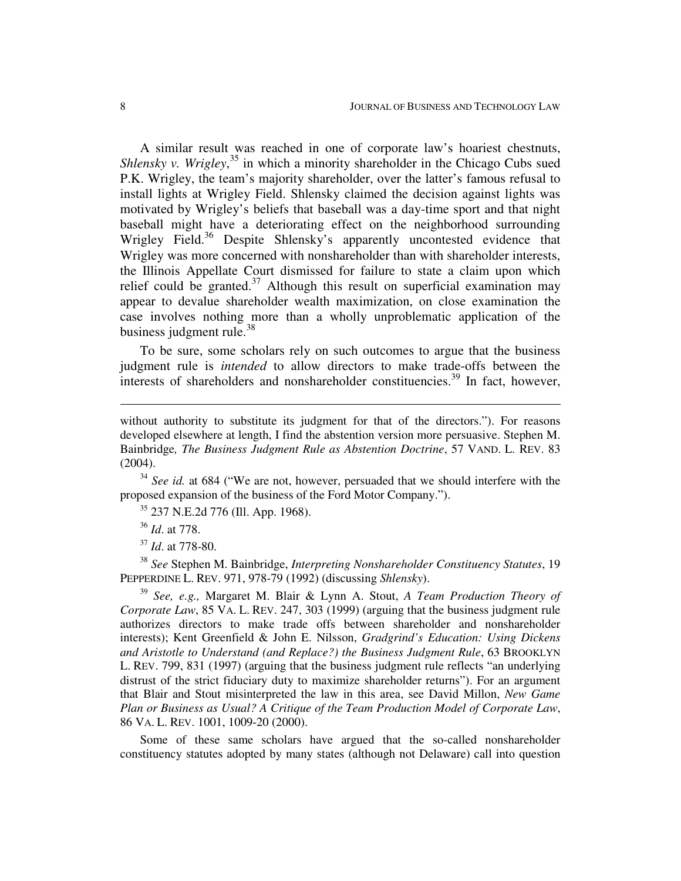A similar result was reached in one of corporate law's hoariest chestnuts, Shlensky *v. Wrigley*,<sup>35</sup> in which a minority shareholder in the Chicago Cubs sued P.K. Wrigley, the team's majority shareholder, over the latter's famous refusal to install lights at Wrigley Field. Shlensky claimed the decision against lights was motivated by Wrigley's beliefs that baseball was a day-time sport and that night baseball might have a deteriorating effect on the neighborhood surrounding Wrigley Field.<sup>36</sup> Despite Shlensky's apparently uncontested evidence that Wrigley was more concerned with nonshareholder than with shareholder interests, the Illinois Appellate Court dismissed for failure to state a claim upon which relief could be granted.<sup>37</sup> Although this result on superficial examination may appear to devalue shareholder wealth maximization, on close examination the case involves nothing more than a wholly unproblematic application of the business judgment rule.<sup>38</sup>

To be sure, some scholars rely on such outcomes to argue that the business judgment rule is *intended* to allow directors to make trade-offs between the interests of shareholders and nonshareholder constituencies. 39 In fact, however,

without authority to substitute its judgment for that of the directors."). For reasons developed elsewhere at length, I find the abstention version more persuasive. Stephen M. Bainbridge*, The Business Judgment Rule as Abstention Doctrine*, 57 VAND. L. REV. 83 (2004).

<sup>34</sup> See id. at 684 ("We are not, however, persuaded that we should interfere with the proposed expansion of the business of the Ford Motor Company.").

<sup>35</sup> 237 N.E.2d 776 (Ill. App. 1968).

36 *Id*. at 778.

37 *Id*. at 778-80.

38 *See* Stephen M. Bainbridge, *Interpreting Nonshareholder Constituency Statutes*, 19 PEPPERDINE L. REV. 971, 978-79 (1992) (discussing *Shlensky*).

39 *See, e.g.,* Margaret M. Blair & Lynn A. Stout, *A Team Production Theory of Corporate Law*, 85 VA. L. REV. 247, 303 (1999) (arguing that the business judgment rule authorizes directors to make trade offs between shareholder and nonshareholder interests); Kent Greenfield & John E. Nilsson, *Gradgrind's Education: Using Dickens and Aristotle to Understand (and Replace?) the Business Judgment Rule*, 63 BROOKLYN L. REV. 799, 831 (1997) (arguing that the business judgment rule reflects "an underlying distrust of the strict fiduciary duty to maximize shareholder returns"). For an argument that Blair and Stout misinterpreted the law in this area, see David Millon, *New Game Plan or Business as Usual? A Critique of the Team Production Model of Corporate Law*, 86 VA. L. REV. 1001, 1009-20 (2000).

Some of these same scholars have argued that the so-called nonshareholder constituency statutes adopted by many states (although not Delaware) call into question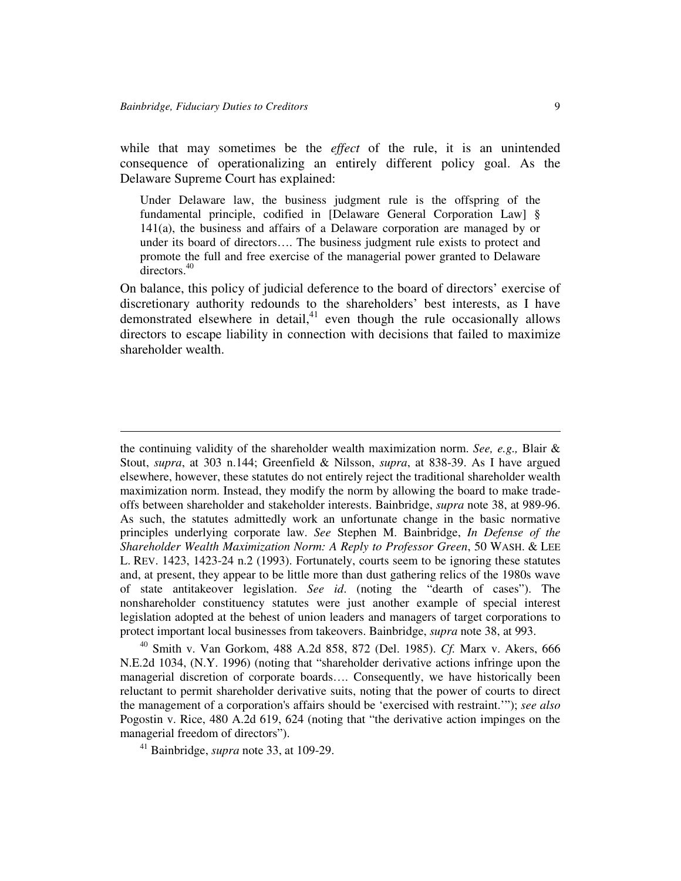while that may sometimes be the *effect* of the rule, it is an unintended consequence of operationalizing an entirely different policy goal. As the Delaware Supreme Court has explained:

Under Delaware law, the business judgment rule is the offspring of the fundamental principle, codified in [Delaware General Corporation Law] § 141(a), the business and affairs of a Delaware corporation are managed by or under its board of directors…. The business judgment rule exists to protect and promote the full and free exercise of the managerial power granted to Delaware directors. 40

On balance, this policy of judicial deference to the board of directors' exercise of discretionary authority redounds to the shareholders' best interests, as I have demonstrated elsewhere in detail,<sup>41</sup> even though the rule occasionally allows directors to escape liability in connection with decisions that failed to maximize shareholder wealth.

the continuing validity of the shareholder wealth maximization norm. *See, e.g.,* Blair & Stout, *supra*, at 303 n.144; Greenfield & Nilsson, *supra*, at 838-39. As I have argued elsewhere, however, these statutes do not entirely reject the traditional shareholder wealth maximization norm. Instead, they modify the norm by allowing the board to make tradeoffs between shareholder and stakeholder interests. Bainbridge, *supra* note 38, at 989-96. As such, the statutes admittedly work an unfortunate change in the basic normative principles underlying corporate law. *See* Stephen M. Bainbridge, *In Defense of the Shareholder Wealth Maximization Norm: A Reply to Professor Green*, 50 WASH. & LEE L. REV. 1423, 1423-24 n.2 (1993). Fortunately, courts seem to be ignoring these statutes and, at present, they appear to be little more than dust gathering relics of the 1980s wave of state antitakeover legislation. *See id*. (noting the "dearth of cases"). The nonshareholder constituency statutes were just another example of special interest legislation adopted at the behest of union leaders and managers of target corporations to protect important local businesses from takeovers. Bainbridge, *supra* note 38, at 993.

40 Smith v. Van Gorkom, 488 A.2d 858, 872 (Del. 1985). *Cf.* Marx v. Akers, 666 N.E.2d 1034, (N.Y. 1996) (noting that "shareholder derivative actions infringe upon the managerial discretion of corporate boards…. Consequently, we have historically been reluctant to permit shareholder derivative suits, noting that the power of courts to direct the management of a corporation's affairs should be 'exercised with restraint.'"); *see also* Pogostin v. Rice, 480 A.2d 619, 624 (noting that "the derivative action impinges on the managerial freedom of directors").

<sup>41</sup> Bainbridge, *supra* note 33, at 109-29.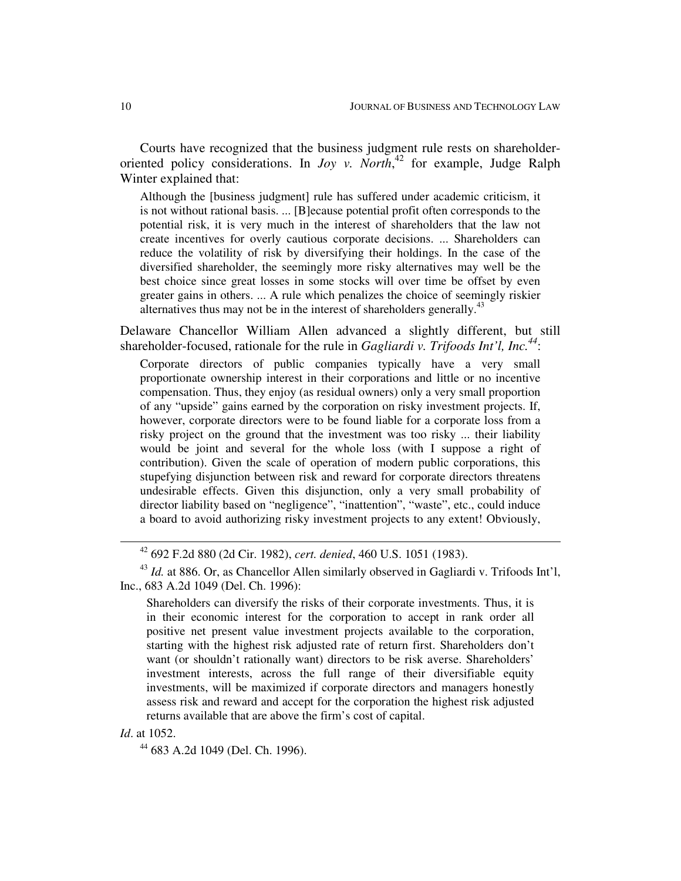Courts have recognized that the business judgment rule rests on shareholderoriented policy considerations. In *Joy v. North*, 42 for example, Judge Ralph Winter explained that:

Although the [business judgment] rule has suffered under academic criticism, it is not without rational basis. ... [B]ecause potential profit often corresponds to the potential risk, it is very much in the interest of shareholders that the law not create incentives for overly cautious corporate decisions. ... Shareholders can reduce the volatility of risk by diversifying their holdings. In the case of the diversified shareholder, the seemingly more risky alternatives may well be the best choice since great losses in some stocks will over time be offset by even greater gains in others. ... A rule which penalizes the choice of seemingly riskier alternatives thus may not be in the interest of shareholders generally.<sup>43</sup>

Delaware Chancellor William Allen advanced a slightly different, but still shareholder-focused, rationale for the rule in *Gagliardi v. Trifoods Int'l, Inc. 44* :

Corporate directors of public companies typically have a very small proportionate ownership interest in their corporations and little or no incentive compensation. Thus, they enjoy (as residual owners) only a very small proportion of any "upside" gains earned by the corporation on risky investment projects. If, however, corporate directors were to be found liable for a corporate loss from a risky project on the ground that the investment was too risky ... their liability would be joint and several for the whole loss (with I suppose a right of contribution). Given the scale of operation of modern public corporations, this stupefying disjunction between risk and reward for corporate directors threatens undesirable effects. Given this disjunction, only a very small probability of director liability based on "negligence", "inattention", "waste", etc., could induce a board to avoid authorizing risky investment projects to any extent! Obviously,

# *Id*. at 1052.

44 683 A.2d 1049 (Del. Ch. 1996).

<sup>42</sup> 692 F.2d 880 (2d Cir. 1982), *cert. denied*, 460 U.S. 1051 (1983).

<sup>&</sup>lt;sup>43</sup> Id. at 886. Or, as Chancellor Allen similarly observed in Gagliardi v. Trifoods Int'l, Inc., 683 A.2d 1049 (Del. Ch. 1996):

Shareholders can diversify the risks of their corporate investments. Thus, it is in their economic interest for the corporation to accept in rank order all positive net present value investment projects available to the corporation, starting with the highest risk adjusted rate of return first. Shareholders don't want (or shouldn't rationally want) directors to be risk averse. Shareholders' investment interests, across the full range of their diversifiable equity investments, will be maximized if corporate directors and managers honestly assess risk and reward and accept for the corporation the highest risk adjusted returns available that are above the firm's cost of capital.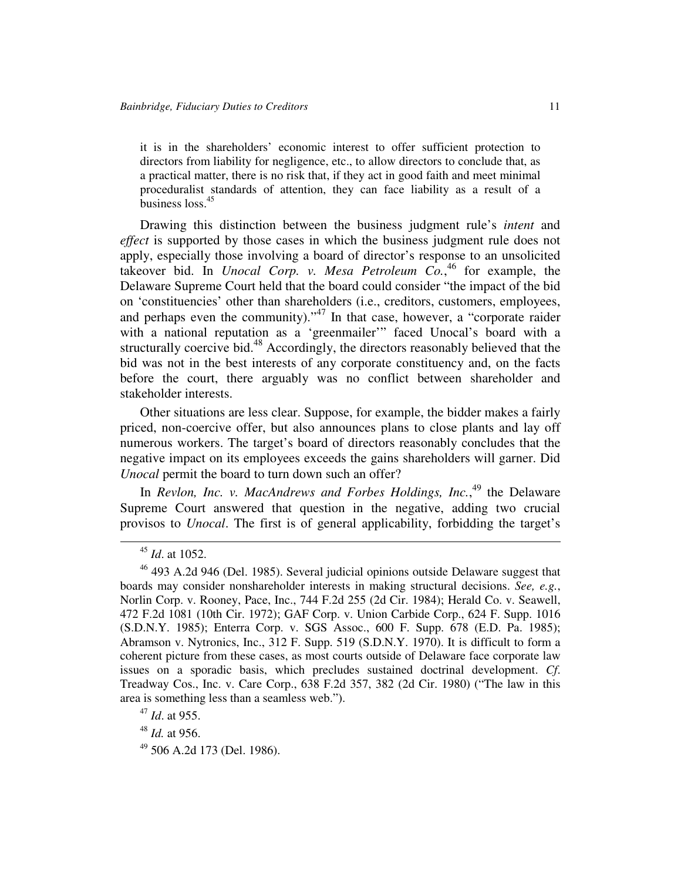it is in the shareholders' economic interest to offer sufficient protection to directors from liability for negligence, etc., to allow directors to conclude that, as a practical matter, there is no risk that, if they act in good faith and meet minimal proceduralist standards of attention, they can face liability as a result of a business loss. 45

Drawing this distinction between the business judgment rule's *intent* and *effect* is supported by those cases in which the business judgment rule does not apply, especially those involving a board of director's response to an unsolicited takeover bid. In *Unocal Corp. v. Mesa Petroleum Co.*, 46 for example, the Delaware Supreme Court held that the board could consider "the impact of the bid on 'constituencies' other than shareholders (i.e., creditors, customers, employees, and perhaps even the community)."<sup>47</sup> In that case, however, a "corporate raider with a national reputation as a 'greenmailer'" faced Unocal's board with a structurally coercive bid.<sup>48</sup> Accordingly, the directors reasonably believed that the bid was not in the best interests of any corporate constituency and, on the facts before the court, there arguably was no conflict between shareholder and stakeholder interests.

Other situations are less clear. Suppose, for example, the bidder makes a fairly priced, non-coercive offer, but also announces plans to close plants and lay off numerous workers. The target's board of directors reasonably concludes that the negative impact on its employees exceeds the gains shareholders will garner. Did *Unocal* permit the board to turn down such an offer?

In *Revlon, Inc. v. MacAndrews and Forbes Holdings, Inc.*, 49 the Delaware Supreme Court answered that question in the negative, adding two crucial provisos to *Unocal*. The first is of general applicability, forbidding the target's

49 506 A.2d 173 (Del. 1986).

<sup>45</sup> *Id*. at 1052.

<sup>&</sup>lt;sup>46</sup> 493 A.2d 946 (Del. 1985). Several judicial opinions outside Delaware suggest that boards may consider nonshareholder interests in making structural decisions. *See, e.g.*, Norlin Corp. v. Rooney, Pace, Inc., 744 F.2d 255 (2d Cir. 1984); Herald Co. v. Seawell, 472 F.2d 1081 (10th Cir. 1972); GAF Corp. v. Union Carbide Corp., 624 F. Supp. 1016 (S.D.N.Y. 1985); Enterra Corp. v. SGS Assoc., 600 F. Supp. 678 (E.D. Pa. 1985); Abramson v. Nytronics, Inc., 312 F. Supp. 519 (S.D.N.Y. 1970). It is difficult to form a coherent picture from these cases, as most courts outside of Delaware face corporate law issues on a sporadic basis, which precludes sustained doctrinal development. *Cf*. Treadway Cos., Inc. v. Care Corp., 638 F.2d 357, 382 (2d Cir. 1980) ("The law in this area is something less than a seamless web.").

<sup>47</sup> *Id*. at 955.

<sup>48</sup> *Id.* at 956.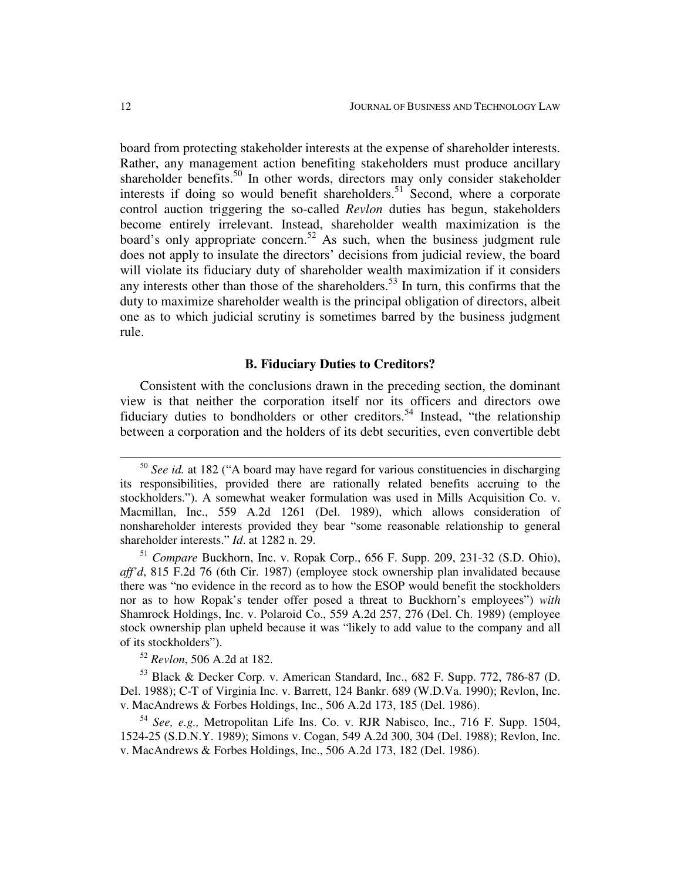board from protecting stakeholder interests at the expense of shareholder interests. Rather, any management action benefiting stakeholders must produce ancillary shareholder benefits.<sup>50</sup> In other words, directors may only consider stakeholder interests if doing so would benefit shareholders.<sup>51</sup> Second, where a corporate control auction triggering the so-called *Revlon* duties has begun, stakeholders become entirely irrelevant. Instead, shareholder wealth maximization is the board's only appropriate concern.<sup>52</sup> As such, when the business judgment rule does not apply to insulate the directors' decisions from judicial review, the board will violate its fiduciary duty of shareholder wealth maximization if it considers any interests other than those of the shareholders.<sup>53</sup> In turn, this confirms that the duty to maximize shareholder wealth is the principal obligation of directors, albeit one as to which judicial scrutiny is sometimes barred by the business judgment rule.

#### **B. Fiduciary Duties to Creditors?**

Consistent with the conclusions drawn in the preceding section, the dominant view is that neither the corporation itself nor its officers and directors owe fiduciary duties to bondholders or other creditors.<sup>54</sup> Instead, "the relationship between a corporation and the holders of its debt securities, even convertible debt

<sup>52</sup> *Revlon*, 506 A.2d at 182.

<sup>53</sup> Black & Decker Corp. v. American Standard, Inc., 682 F. Supp. 772, 786-87 (D. Del. 1988); C-T of Virginia Inc. v. Barrett, 124 Bankr. 689 (W.D.Va. 1990); Revlon, Inc. v. MacAndrews & Forbes Holdings, Inc., 506 A.2d 173, 185 (Del. 1986).

54 *See, e.g.,* Metropolitan Life Ins. Co. v. RJR Nabisco, Inc., 716 F. Supp. 1504, 1524-25 (S.D.N.Y. 1989); Simons v. Cogan, 549 A.2d 300, 304 (Del. 1988); Revlon, Inc. v. MacAndrews & Forbes Holdings, Inc., 506 A.2d 173, 182 (Del. 1986).

<sup>50</sup> *See id.* at 182 ("A board may have regard for various constituencies in discharging its responsibilities, provided there are rationally related benefits accruing to the stockholders."). A somewhat weaker formulation was used in Mills Acquisition Co. v. Macmillan, Inc., 559 A.2d 1261 (Del. 1989), which allows consideration of nonshareholder interests provided they bear "some reasonable relationship to general shareholder interests." *Id*. at 1282 n. 29.

<sup>51</sup> *Compare* Buckhorn, Inc. v. Ropak Corp., 656 F. Supp. 209, 231-32 (S.D. Ohio), *aff'd*, 815 F.2d 76 (6th Cir. 1987) (employee stock ownership plan invalidated because there was "no evidence in the record as to how the ESOP would benefit the stockholders nor as to how Ropak's tender offer posed a threat to Buckhorn's employees") *with* Shamrock Holdings, Inc. v. Polaroid Co., 559 A.2d 257, 276 (Del. Ch. 1989) (employee stock ownership plan upheld because it was "likely to add value to the company and all of its stockholders").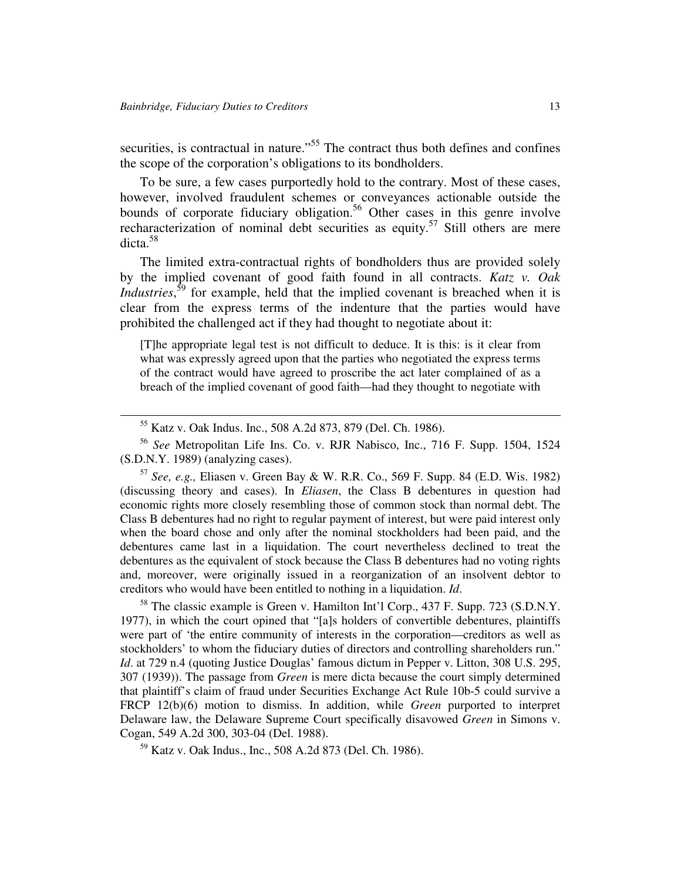securities, is contractual in nature."<sup>55</sup> The contract thus both defines and confines the scope of the corporation's obligations to its bondholders.

To be sure, a few cases purportedly hold to the contrary. Most of these cases, however, involved fraudulent schemes or conveyances actionable outside the bounds of corporate fiduciary obligation.<sup>56</sup> Other cases in this genre involve recharacterization of nominal debt securities as equity.<sup>57</sup> Still others are mere dicta. 58

The limited extra-contractual rights of bondholders thus are provided solely by the implied covenant of good faith found in all contracts. *Katz v. Oak Industries*,<sup>59</sup> for example, held that the implied covenant is breached when it is clear from the express terms of the indenture that the parties would have prohibited the challenged act if they had thought to negotiate about it:

[T]he appropriate legal test is not difficult to deduce. It is this: is it clear from what was expressly agreed upon that the parties who negotiated the express terms of the contract would have agreed to proscribe the act later complained of as a breach of the implied covenant of good faith—had they thought to negotiate with

56 *See* Metropolitan Life Ins. Co. v. RJR Nabisco, Inc., 716 F. Supp. 1504, 1524 (S.D.N.Y. 1989) (analyzing cases).

57 *See, e.g.,* Eliasen v. Green Bay & W. R.R. Co., 569 F. Supp. 84 (E.D. Wis. 1982) (discussing theory and cases). In *Eliasen*, the Class B debentures in question had economic rights more closely resembling those of common stock than normal debt. The Class B debentures had no right to regular payment of interest, but were paid interest only when the board chose and only after the nominal stockholders had been paid, and the debentures came last in a liquidation. The court nevertheless declined to treat the debentures as the equivalent of stock because the Class B debentures had no voting rights and, moreover, were originally issued in a reorganization of an insolvent debtor to creditors who would have been entitled to nothing in a liquidation. *Id*.

<sup>58</sup> The classic example is Green v. Hamilton Int'l Corp., 437 F. Supp. 723 (S.D.N.Y. 1977), in which the court opined that "[a]s holders of convertible debentures, plaintiffs were part of 'the entire community of interests in the corporation—creditors as well as stockholders' to whom the fiduciary duties of directors and controlling shareholders run." *Id.* at 729 n.4 (quoting Justice Douglas' famous dictum in Pepper v. Litton, 308 U.S. 295, 307 (1939)). The passage from *Green* is mere dicta because the court simply determined that plaintiff's claim of fraud under Securities Exchange Act Rule 10b-5 could survive a FRCP 12(b)(6) motion to dismiss. In addition, while *Green* purported to interpret Delaware law, the Delaware Supreme Court specifically disavowed *Green* in Simons v. Cogan, 549 A.2d 300, 303-04 (Del. 1988).

<sup>59</sup> Katz v. Oak Indus., Inc., 508 A.2d 873 (Del. Ch. 1986).

<sup>55</sup> Katz v. Oak Indus. Inc., 508 A.2d 873, 879 (Del. Ch. 1986).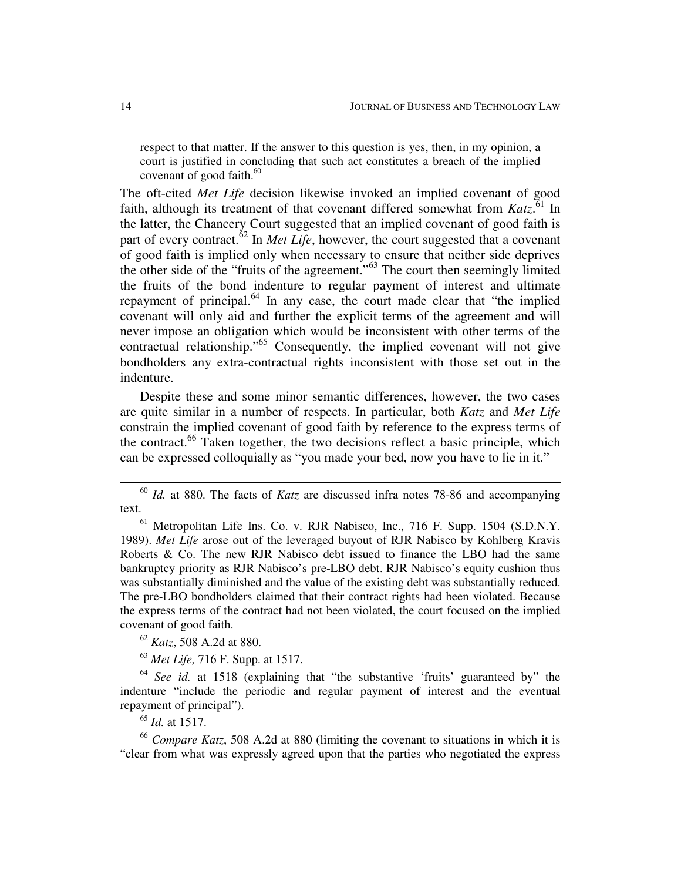respect to that matter. If the answer to this question is yes, then, in my opinion, a court is justified in concluding that such act constitutes a breach of the implied covenant of good faith. 60

The oft-cited *Met Life* decision likewise invoked an implied covenant of good faith, although its treatment of that covenant differed somewhat from Katz.<sup>61</sup> In the latter, the Chancery Court suggested that an implied covenant of good faith is part of every contract.<sup>62</sup> In *Met Life*, however, the court suggested that a covenant of good faith is implied only when necessary to ensure that neither side deprives the other side of the "fruits of the agreement."<sup>63</sup> The court then seemingly limited the fruits of the bond indenture to regular payment of interest and ultimate repayment of principal.<sup>64</sup> In any case, the court made clear that "the implied covenant will only aid and further the explicit terms of the agreement and will never impose an obligation which would be inconsistent with other terms of the contractual relationship."<sup>65</sup> Consequently, the implied covenant will not give bondholders any extra-contractual rights inconsistent with those set out in the indenture.

Despite these and some minor semantic differences, however, the two cases are quite similar in a number of respects. In particular, both *Katz* and *Met Life* constrain the implied covenant of good faith by reference to the express terms of the contract.<sup>66</sup> Taken together, the two decisions reflect a basic principle, which can be expressed colloquially as "you made your bed, now you have to lie in it."

<sup>62</sup> *Katz*, 508 A.2d at 880.

<sup>63</sup> *Met Life,* 716 F. Supp. at 1517.

64 *See id.* at 1518 (explaining that "the substantive 'fruits' guaranteed by" the indenture "include the periodic and regular payment of interest and the eventual repayment of principal").

65 *Id.* at 1517.

<sup>66</sup> *Compare Katz*, 508 A.2d at 880 (limiting the covenant to situations in which it is "clear from what was expressly agreed upon that the parties who negotiated the express

<sup>60</sup> *Id.* at 880. The facts of *Katz* are discussed infra notes 78-86 and accompanying text.

 $<sup>61</sup>$  Metropolitan Life Ins. Co. v. RJR Nabisco, Inc., 716 F. Supp. 1504 (S.D.N.Y.)</sup> 1989). *Met Life* arose out of the leveraged buyout of RJR Nabisco by Kohlberg Kravis Roberts & Co. The new RJR Nabisco debt issued to finance the LBO had the same bankruptcy priority as RJR Nabisco's pre-LBO debt. RJR Nabisco's equity cushion thus was substantially diminished and the value of the existing debt was substantially reduced. The pre-LBO bondholders claimed that their contract rights had been violated. Because the express terms of the contract had not been violated, the court focused on the implied covenant of good faith.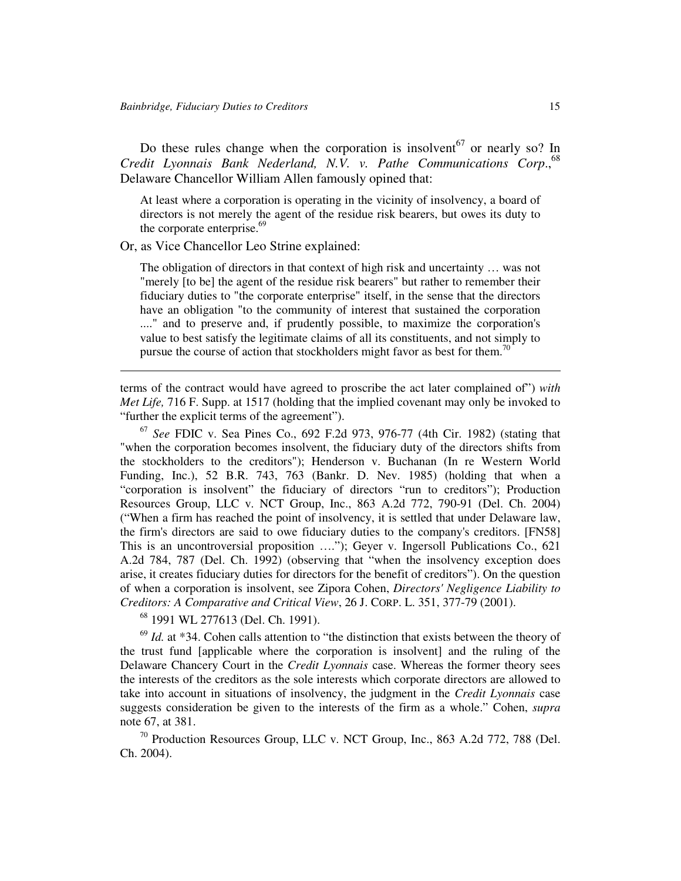Do these rules change when the corporation is insolvent<sup>67</sup> or nearly so? In *Credit Lyonnais Bank Nederland, N.V. v. Pathe Communications Corp*., 68 Delaware Chancellor William Allen famously opined that:

At least where a corporation is operating in the vicinity of insolvency, a board of directors is not merely the agent of the residue risk bearers, but owes its duty to the corporate enterprise.<sup>69</sup>

Or, as Vice Chancellor Leo Strine explained:

The obligation of directors in that context of high risk and uncertainty … was not "merely [to be] the agent of the residue risk bearers" but rather to remember their fiduciary duties to "the corporate enterprise" itself, in the sense that the directors have an obligation "to the community of interest that sustained the corporation ...." and to preserve and, if prudently possible, to maximize the corporation's value to best satisfy the legitimate claims of all its constituents, and not simply to pursue the course of action that stockholders might favor as best for them.<sup>70</sup>

terms of the contract would have agreed to proscribe the act later complained of") *with Met Life,* 716 F. Supp. at 1517 (holding that the implied covenant may only be invoked to "further the explicit terms of the agreement").

67 *See* FDIC v. Sea Pines Co., 692 F.2d 973, 976-77 (4th Cir. 1982) (stating that "when the corporation becomes insolvent, the fiduciary duty of the directors shifts from the stockholders to the creditors"); Henderson v. Buchanan (In re Western World Funding, Inc.), 52 B.R. 743, 763 (Bankr. D. Nev. 1985) (holding that when a "corporation is insolvent" the fiduciary of directors "run to creditors"); Production Resources Group, LLC v. NCT Group, Inc., 863 A.2d 772, 790-91 (Del. Ch. 2004) ("When a firm has reached the point of insolvency, it is settled that under Delaware law, the firm's directors are said to owe fiduciary duties to the company's creditors. [FN58] This is an uncontroversial proposition …."); Geyer v. Ingersoll Publications Co., 621 A.2d 784, 787 (Del. Ch. 1992) (observing that "when the insolvency exception does arise, it creates fiduciary duties for directors for the benefit of creditors"). On the question of when a corporation is insolvent, see Zipora Cohen, *Directors'Negligence Liability to Creditors: A Comparative and Critical View*, 26 J. CORP. L. 351, 377-79 (2001).

68 1991 WL 277613 (Del. Ch. 1991).

<sup>69</sup> *Id.* at \*34. Cohen calls attention to "the distinction that exists between the theory of the trust fund [applicable where the corporation is insolvent] and the ruling of the Delaware Chancery Court in the *Credit Lyonnais* case. Whereas the former theory sees the interests of the creditors as the sole interests which corporate directors are allowed to take into account in situations of insolvency, the judgment in the *Credit Lyonnais* case suggests consideration be given to the interests of the firm as a whole." Cohen, *supra* note 67, at 381.

<sup>70</sup> Production Resources Group, LLC v. NCT Group, Inc., 863 A.2d 772, 788 (Del. Ch. 2004).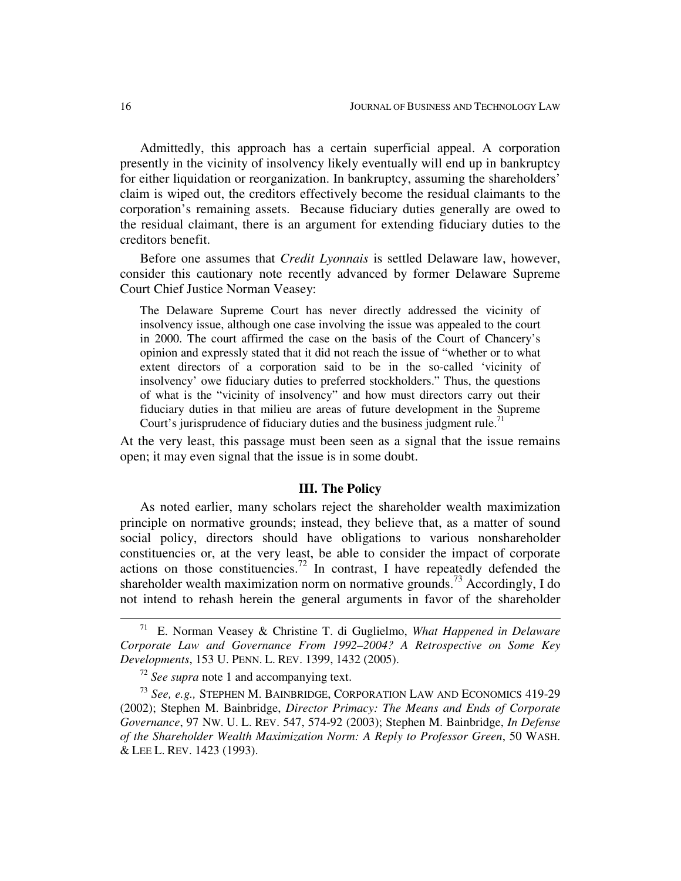Admittedly, this approach has a certain superficial appeal. A corporation presently in the vicinity of insolvency likely eventually will end up in bankruptcy for either liquidation or reorganization. In bankruptcy, assuming the shareholders' claim is wiped out, the creditors effectively become the residual claimants to the corporation's remaining assets. Because fiduciary duties generally are owed to the residual claimant, there is an argument for extending fiduciary duties to the creditors benefit.

Before one assumes that *Credit Lyonnais* is settled Delaware law, however, consider this cautionary note recently advanced by former Delaware Supreme Court Chief Justice Norman Veasey:

The Delaware Supreme Court has never directly addressed the vicinity of insolvency issue, although one case involving the issue was appealed to the court in 2000. The court affirmed the case on the basis of the Court of Chancery's opinion and expressly stated that it did not reach the issue of "whether or to what extent directors of a corporation said to be in the so-called 'vicinity of insolvency' owe fiduciary duties to preferred stockholders." Thus, the questions of what is the "vicinity of insolvency" and how must directors carry out their fiduciary duties in that milieu are areas of future development in the Supreme Court's jurisprudence of fiduciary duties and the business judgment rule.<sup>71</sup>

At the very least, this passage must been seen as a signal that the issue remains open; it may even signal that the issue is in some doubt.

### **III. The Policy**

As noted earlier, many scholars reject the shareholder wealth maximization principle on normative grounds; instead, they believe that, as a matter of sound social policy, directors should have obligations to various nonshareholder constituencies or, at the very least, be able to consider the impact of corporate actions on those constituencies.<sup>72</sup> In contrast, I have repeatedly defended the shareholder wealth maximization norm on normative grounds.<sup>73</sup> Accordingly, I do not intend to rehash herein the general arguments in favor of the shareholder

<sup>71</sup> E. Norman Veasey & Christine T. di Guglielmo, *What Happened in Delaware Corporate Law and Governance From 1992–2004? A Retrospective on Some Key Developments*, 153 U. PENN. L. REV. 1399, 1432 (2005).

<sup>72</sup> *See supra* note 1 and accompanying text.

<sup>73</sup> *See, e.g.,* STEPHEN M. BAINBRIDGE, CORPORATION LAW AND ECONOMICS 419-29 (2002); Stephen M. Bainbridge, *Director Primacy: The Means and Ends of Corporate Governance*, 97 NW. U. L. REV. 547, 574-92 (2003); Stephen M. Bainbridge, *In Defense of the Shareholder Wealth Maximization Norm: A Reply to Professor Green*, 50 WASH. & LEE L. REV. 1423 (1993).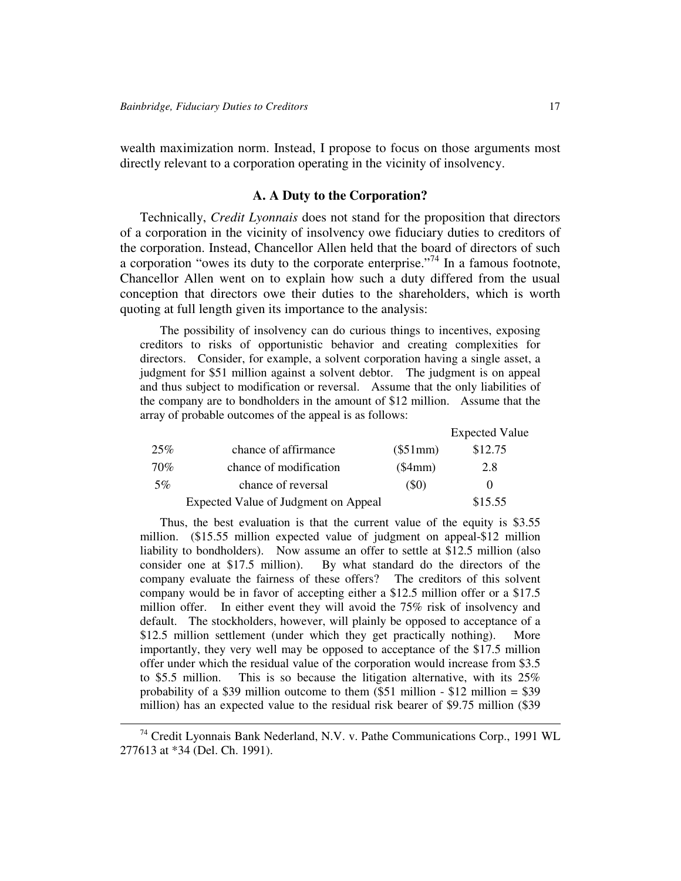wealth maximization norm. Instead, I propose to focus on those arguments most directly relevant to a corporation operating in the vicinity of insolvency.

# **A. A Duty to the Corporation?**

Technically, *Credit Lyonnais* does not stand for the proposition that directors of a corporation in the vicinity of insolvency owe fiduciary duties to creditors of the corporation. Instead, Chancellor Allen held that the board of directors of such a corporation "owes its duty to the corporate enterprise."<sup>74</sup> In a famous footnote, Chancellor Allen went on to explain how such a duty differed from the usual conception that directors owe their duties to the shareholders, which is worth quoting at full length given its importance to the analysis:

The possibility of insolvency can do curious things to incentives, exposing creditors to risks of opportunistic behavior and creating complexities for directors. Consider, for example, a solvent corporation having a single asset, a judgment for \$51 million against a solvent debtor. The judgment is on appeal and thus subject to modification or reversal. Assume that the only liabilities of the company are to bondholders in the amount of \$12 million. Assume that the array of probable outcomes of the appeal is as follows:

|     |                                      |           | <b>Expected Value</b> |
|-----|--------------------------------------|-----------|-----------------------|
| 25% | chance of affirmance                 | (\$51mm)  | \$12.75               |
| 70% | chance of modification               | $(\$4mm)$ | 2.8                   |
| 5%  | chance of reversal                   | (S0)      |                       |
|     | Expected Value of Judgment on Appeal |           | \$15.55               |

Thus, the best evaluation is that the current value of the equity is \$3.55 million. (\$15.55 million expected value of judgment on appeal-\$12 million liability to bondholders). Now assume an offer to settle at \$12.5 million (also consider one at \$17.5 million). By what standard do the directors of the company evaluate the fairness of these offers? The creditors of this solvent company would be in favor of accepting either a \$12.5 million offer or a \$17.5 million offer. In either event they will avoid the 75% risk of insolvency and default. The stockholders, however, will plainly be opposed to acceptance of a \$12.5 million settlement (under which they get practically nothing). More importantly, they very well may be opposed to acceptance of the \$17.5 million offer under which the residual value of the corporation would increase from \$3.5 to \$5.5 million. This is so because the litigation alternative, with its 25% probability of a \$39 million outcome to them  $$12$  million - \$12 million = \$39 million) has an expected value to the residual risk bearer of \$9.75 million (\$39

 $74$  Credit Lyonnais Bank Nederland, N.V. v. Pathe Communications Corp., 1991 WL 277613 at \*34 (Del. Ch. 1991).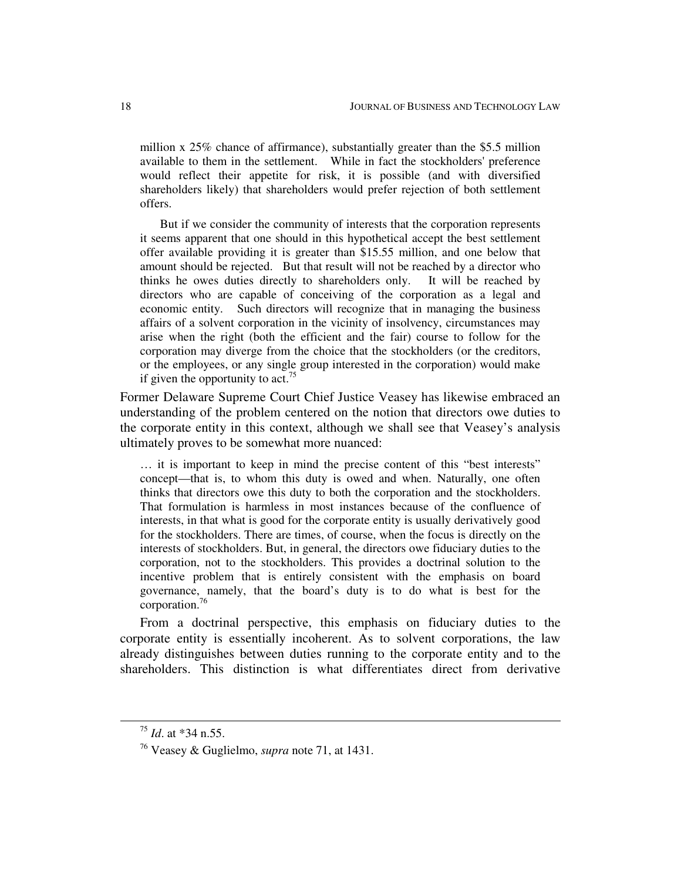million x 25% chance of affirmance), substantially greater than the \$5.5 million available to them in the settlement. While in fact the stockholders'preference would reflect their appetite for risk, it is possible (and with diversified shareholders likely) that shareholders would prefer rejection of both settlement offers.

But if we consider the community of interests that the corporation represents it seems apparent that one should in this hypothetical accept the best settlement offer available providing it is greater than \$15.55 million, and one below that amount should be rejected. But that result will not be reached by a director who thinks he owes duties directly to shareholders only. It will be reached by directors who are capable of conceiving of the corporation as a legal and economic entity. Such directors will recognize that in managing the business affairs of a solvent corporation in the vicinity of insolvency, circumstances may arise when the right (both the efficient and the fair) course to follow for the corporation may diverge from the choice that the stockholders (or the creditors, or the employees, or any single group interested in the corporation) would make if given the opportunity to act.<sup>75</sup>

Former Delaware Supreme Court Chief Justice Veasey has likewise embraced an understanding of the problem centered on the notion that directors owe duties to the corporate entity in this context, although we shall see that Veasey's analysis ultimately proves to be somewhat more nuanced:

… it is important to keep in mind the precise content of this "best interests" concept—that is, to whom this duty is owed and when. Naturally, one often thinks that directors owe this duty to both the corporation and the stockholders. That formulation is harmless in most instances because of the confluence of interests, in that what is good for the corporate entity is usually derivatively good for the stockholders. There are times, of course, when the focus is directly on the interests of stockholders. But, in general, the directors owe fiduciary duties to the corporation, not to the stockholders. This provides a doctrinal solution to the incentive problem that is entirely consistent with the emphasis on board governance, namely, that the board's duty is to do what is best for the corporation. 76

From a doctrinal perspective, this emphasis on fiduciary duties to the corporate entity is essentially incoherent. As to solvent corporations, the law already distinguishes between duties running to the corporate entity and to the shareholders. This distinction is what differentiates direct from derivative

<sup>75</sup> *Id*. at \*34 n.55.

<sup>76</sup> Veasey & Guglielmo, *supra* note 71, at 1431.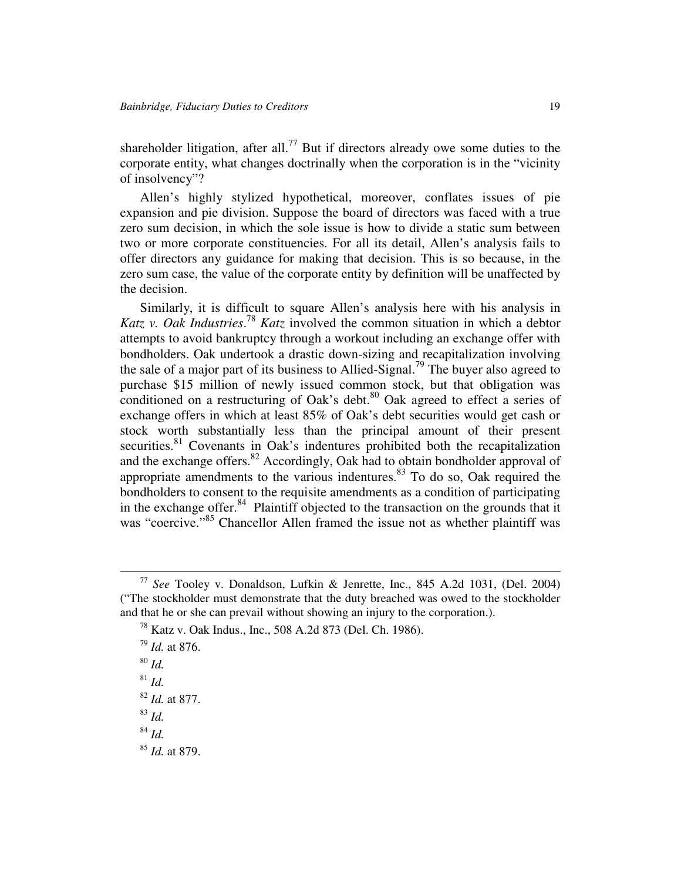shareholder litigation, after all.<sup>77</sup> But if directors already owe some duties to the corporate entity, what changes doctrinally when the corporation is in the "vicinity of insolvency"?

Allen's highly stylized hypothetical, moreover, conflates issues of pie expansion and pie division. Suppose the board of directors was faced with a true zero sum decision, in which the sole issue is how to divide a static sum between two or more corporate constituencies. For all its detail, Allen's analysis fails to offer directors any guidance for making that decision. This is so because, in the zero sum case, the value of the corporate entity by definition will be unaffected by the decision.

Similarly, it is difficult to square Allen's analysis here with his analysis in *Katz v. Oak Industries*. <sup>78</sup> *Katz* involved the common situation in which a debtor attempts to avoid bankruptcy through a workout including an exchange offer with bondholders. Oak undertook a drastic down-sizing and recapitalization involving the sale of a major part of its business to Allied-Signal.<sup>79</sup> The buyer also agreed to purchase \$15 million of newly issued common stock, but that obligation was conditioned on a restructuring of Oak's debt.<sup>80</sup> Oak agreed to effect a series of exchange offers in which at least 85% of Oak's debt securities would get cash or stock worth substantially less than the principal amount of their present securities.<sup>81</sup> Covenants in Oak's indentures prohibited both the recapitalization and the exchange offers.<sup>82</sup> Accordingly, Oak had to obtain bondholder approval of appropriate amendments to the various indentures.<sup>83</sup> To do so, Oak required the bondholders to consent to the requisite amendments as a condition of participating in the exchange offer.<sup>84</sup> Plaintiff objected to the transaction on the grounds that it was "coercive."<sup>85</sup> Chancellor Allen framed the issue not as whether plaintiff was

<sup>77</sup> *See* Tooley v. Donaldson, Lufkin & Jenrette, Inc., 845 A.2d 1031, (Del. 2004) ("The stockholder must demonstrate that the duty breached was owed to the stockholder and that he or she can prevail without showing an injury to the corporation.).

<sup>78</sup> Katz v. Oak Indus., Inc., 508 A.2d 873 (Del. Ch. 1986).

<sup>79</sup> *Id.* at 876.

<sup>80</sup> *Id.*

<sup>81</sup> *Id.*

<sup>82</sup> *Id.* at 877.

<sup>83</sup> *Id.*

<sup>84</sup> *Id.*

<sup>85</sup> *Id.* at 879.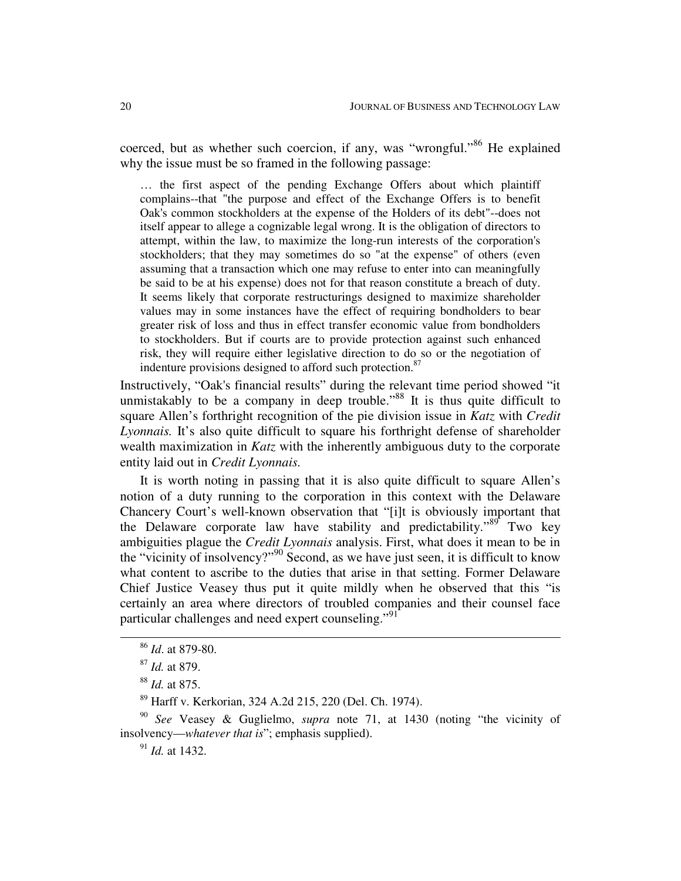coerced, but as whether such coercion, if any, was "wrongful."<sup>86</sup> He explained why the issue must be so framed in the following passage:

… the first aspect of the pending Exchange Offers about which plaintiff complains--that "the purpose and effect of the Exchange Offers is to benefit Oak's common stockholders at the expense of the Holders of its debt"--does not itself appear to allege a cognizable legal wrong. It is the obligation of directors to attempt, within the law, to maximize the long-run interests of the corporation's stockholders; that they may sometimes do so "at the expense" of others (even assuming that a transaction which one may refuse to enter into can meaningfully be said to be at his expense) does not for that reason constitute a breach of duty. It seems likely that corporate restructurings designed to maximize shareholder values may in some instances have the effect of requiring bondholders to bear greater risk of loss and thus in effect transfer economic value from bondholders to stockholders. But if courts are to provide protection against such enhanced risk, they will require either legislative direction to do so or the negotiation of indenture provisions designed to afford such protection.<sup>87</sup>

Instructively, "Oak's financial results" during the relevant time period showed "it unmistakably to be a company in deep trouble."<sup>88</sup> It is thus quite difficult to square Allen's forthright recognition of the pie division issue in *Katz* with *Credit Lyonnais.* It's also quite difficult to square his forthright defense of shareholder wealth maximization in *Katz* with the inherently ambiguous duty to the corporate entity laid out in *Credit Lyonnais.*

It is worth noting in passing that it is also quite difficult to square Allen's notion of a duty running to the corporation in this context with the Delaware Chancery Court's well-known observation that "[i]t is obviously important that the Delaware corporate law have stability and predictability."<sup>89</sup> Two key ambiguities plague the *Credit Lyonnais* analysis. First, what does it mean to be in the "vicinity of insolvency?"<sup>90</sup> Second, as we have just seen, it is difficult to know what content to ascribe to the duties that arise in that setting. Former Delaware Chief Justice Veasey thus put it quite mildly when he observed that this "is certainly an area where directors of troubled companies and their counsel face particular challenges and need expert counseling."<sup>91</sup>

90 *See* Veasey & Guglielmo, *supra* note 71, at 1430 (noting "the vicinity of insolvency—*whatever that is*"; emphasis supplied).

91 *Id.* at 1432.

<sup>86</sup> *Id*. at 879-80.

<sup>87</sup> *Id.* at 879.

<sup>88</sup> *Id.* at 875.

<sup>89</sup> Harff v. Kerkorian, 324 A.2d 215, 220 (Del. Ch. 1974).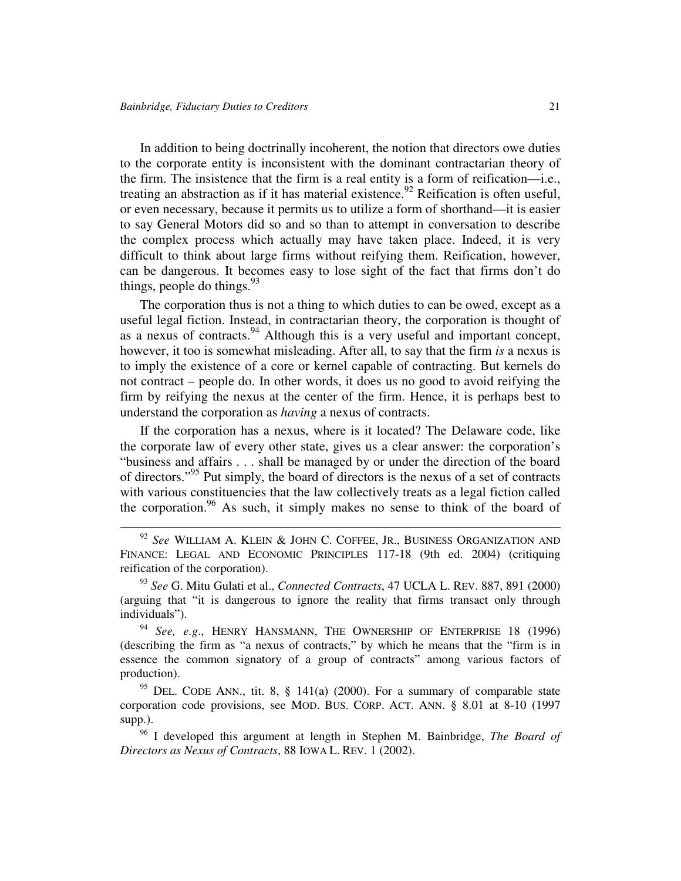In addition to being doctrinally incoherent, the notion that directors owe duties to the corporate entity is inconsistent with the dominant contractarian theory of the firm. The insistence that the firm is a real entity is a form of reification—i.e., treating an abstraction as if it has material existence.<sup>92</sup> Reification is often useful, or even necessary, because it permits us to utilize a form of shorthand—it is easier to say General Motors did so and so than to attempt in conversation to describe the complex process which actually may have taken place. Indeed, it is very difficult to think about large firms without reifying them. Reification, however, can be dangerous. It becomes easy to lose sight of the fact that firms don't do things, people do things.<sup>93</sup>

The corporation thus is not a thing to which duties to can be owed, except as a useful legal fiction. Instead, in contractarian theory, the corporation is thought of as a nexus of contracts.<sup>94</sup> Although this is a very useful and important concept, however, it too is somewhat misleading. After all, to say that the firm *is* a nexus is to imply the existence of a core or kernel capable of contracting. But kernels do not contract – people do. In other words, it does us no good to avoid reifying the firm by reifying the nexus at the center of the firm. Hence, it is perhaps best to understand the corporation as *having* a nexus of contracts.

If the corporation has a nexus, where is it located? The Delaware code, like the corporate law of every other state, gives us a clear answer: the corporation's "business and affairs . . . shall be managed by or under the direction of the board of directors."<sup>95</sup> Put simply, the board of directors is the nexus of a set of contracts with various constituencies that the law collectively treats as a legal fiction called the corporation.<sup>96</sup> As such, it simply makes no sense to think of the board of

93 *See* G. Mitu Gulati et al., *Connected Contracts*, 47 UCLA L. REV. 887, 891 (2000) (arguing that "it is dangerous to ignore the reality that firms transact only through individuals").

94 *See, e.g*., HENRY HANSMANN, THE OWNERSHIP OF ENTERPRISE 18 (1996) (describing the firm as "a nexus of contracts," by which he means that the "firm is in essence the common signatory of a group of contracts" among various factors of production).

 $95$  DEL. CODE ANN., tit. 8, § 141(a) (2000). For a summary of comparable state corporation code provisions, see MOD. BUS. CORP. ACT. ANN. § 8.01 at 8-10 (1997 supp.).

96 I developed this argument at length in Stephen M. Bainbridge, *The Board of Directors as Nexus of Contracts*, 88 IOWA L. REV. 1 (2002).

<sup>92</sup> *See* WILLIAM A. KLEIN & JOHN C. COFFEE, JR., BUSINESS ORGANIZATION AND FINANCE: LEGAL AND ECONOMIC PRINCIPLES 117-18 (9th ed. 2004) (critiquing reification of the corporation).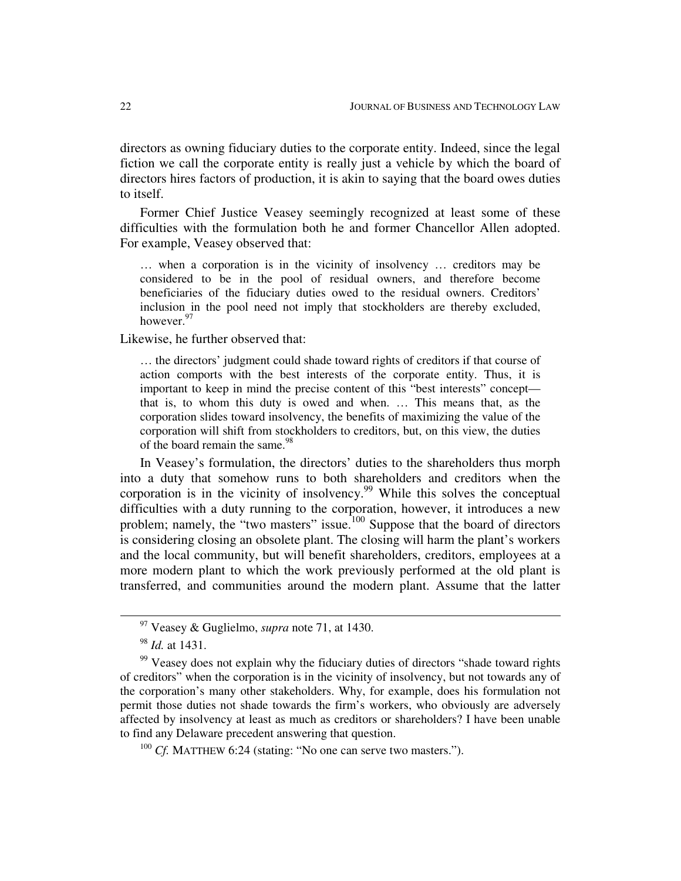directors as owning fiduciary duties to the corporate entity. Indeed, since the legal fiction we call the corporate entity is really just a vehicle by which the board of directors hires factors of production, it is akin to saying that the board owes duties to itself.

Former Chief Justice Veasey seemingly recognized at least some of these difficulties with the formulation both he and former Chancellor Allen adopted. For example, Veasey observed that:

… when a corporation is in the vicinity of insolvency … creditors may be considered to be in the pool of residual owners, and therefore become beneficiaries of the fiduciary duties owed to the residual owners. Creditors' inclusion in the pool need not imply that stockholders are thereby excluded, however.<sup>97</sup>

Likewise, he further observed that:

… the directors' judgment could shade toward rights of creditors if that course of action comports with the best interests of the corporate entity. Thus, it is important to keep in mind the precise content of this "best interests" concept that is, to whom this duty is owed and when. … This means that, as the corporation slides toward insolvency, the benefits of maximizing the value of the corporation will shift from stockholders to creditors, but, on this view, the duties of the board remain the same.<sup>98</sup>

In Veasey's formulation, the directors' duties to the shareholders thus morph into a duty that somehow runs to both shareholders and creditors when the corporation is in the vicinity of insolvency.<sup>99</sup> While this solves the conceptual difficulties with a duty running to the corporation, however, it introduces a new problem; namely, the "two masters" issue.<sup>100</sup> Suppose that the board of directors is considering closing an obsolete plant. The closing will harm the plant's workers and the local community, but will benefit shareholders, creditors, employees at a more modern plant to which the work previously performed at the old plant is transferred, and communities around the modern plant. Assume that the latter

<sup>97</sup> Veasey & Guglielmo, *supra* note 71, at 1430.

<sup>98</sup> *Id.* at 1431.

<sup>&</sup>lt;sup>99</sup> Veasey does not explain why the fiduciary duties of directors "shade toward rights" of creditors" when the corporation is in the vicinity of insolvency, but not towards any of the corporation's many other stakeholders. Why, for example, does his formulation not permit those duties not shade towards the firm's workers, who obviously are adversely affected by insolvency at least as much as creditors or shareholders? I have been unable to find any Delaware precedent answering that question.

<sup>&</sup>lt;sup>100</sup> *Cf.* MATTHEW 6:24 (stating: "No one can serve two masters.").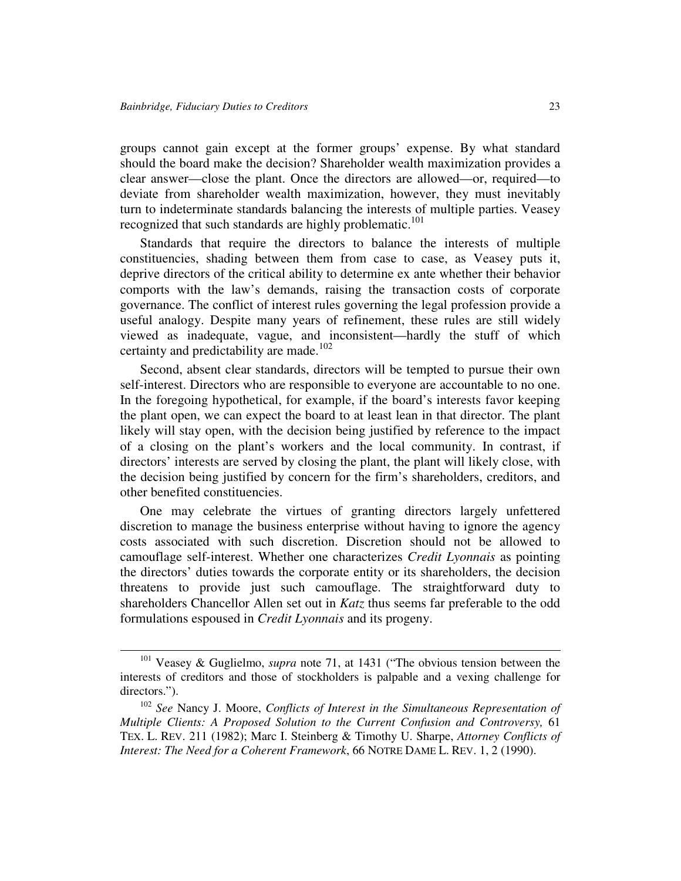groups cannot gain except at the former groups' expense. By what standard should the board make the decision? Shareholder wealth maximization provides a clear answer—close the plant. Once the directors are allowed—or, required—to deviate from shareholder wealth maximization, however, they must inevitably turn to indeterminate standards balancing the interests of multiple parties. Veasey recognized that such standards are highly problematic.<sup>101</sup>

Standards that require the directors to balance the interests of multiple constituencies, shading between them from case to case, as Veasey puts it, deprive directors of the critical ability to determine ex ante whether their behavior comports with the law's demands, raising the transaction costs of corporate governance. The conflict of interest rules governing the legal profession provide a useful analogy. Despite many years of refinement, these rules are still widely viewed as inadequate, vague, and inconsistent—hardly the stuff of which certainty and predictability are made.<sup>102</sup>

Second, absent clear standards, directors will be tempted to pursue their own self-interest. Directors who are responsible to everyone are accountable to no one. In the foregoing hypothetical, for example, if the board's interests favor keeping the plant open, we can expect the board to at least lean in that director. The plant likely will stay open, with the decision being justified by reference to the impact of a closing on the plant's workers and the local community. In contrast, if directors' interests are served by closing the plant, the plant will likely close, with the decision being justified by concern for the firm's shareholders, creditors, and other benefited constituencies.

One may celebrate the virtues of granting directors largely unfettered discretion to manage the business enterprise without having to ignore the agency costs associated with such discretion. Discretion should not be allowed to camouflage self-interest. Whether one characterizes *Credit Lyonnais* as pointing the directors' duties towards the corporate entity or its shareholders, the decision threatens to provide just such camouflage. The straightforward duty to shareholders Chancellor Allen set out in *Katz* thus seems far preferable to the odd formulations espoused in *Credit Lyonnais* and its progeny.

<sup>101</sup> Veasey & Guglielmo, *supra* note 71, at 1431 ("The obvious tension between the interests of creditors and those of stockholders is palpable and a vexing challenge for directors.").

<sup>102</sup> *See* Nancy J. Moore, *Conflicts of Interest in the Simultaneous Representation of Multiple Clients: A Proposed Solution to the Current Confusion and Controversy,* 61 TEX. L. REV. 211 (1982); Marc I. Steinberg & Timothy U. Sharpe, *Attorney Conflicts of Interest: The Need for a Coherent Framework*, 66 NOTRE DAME L. REV. 1, 2 (1990).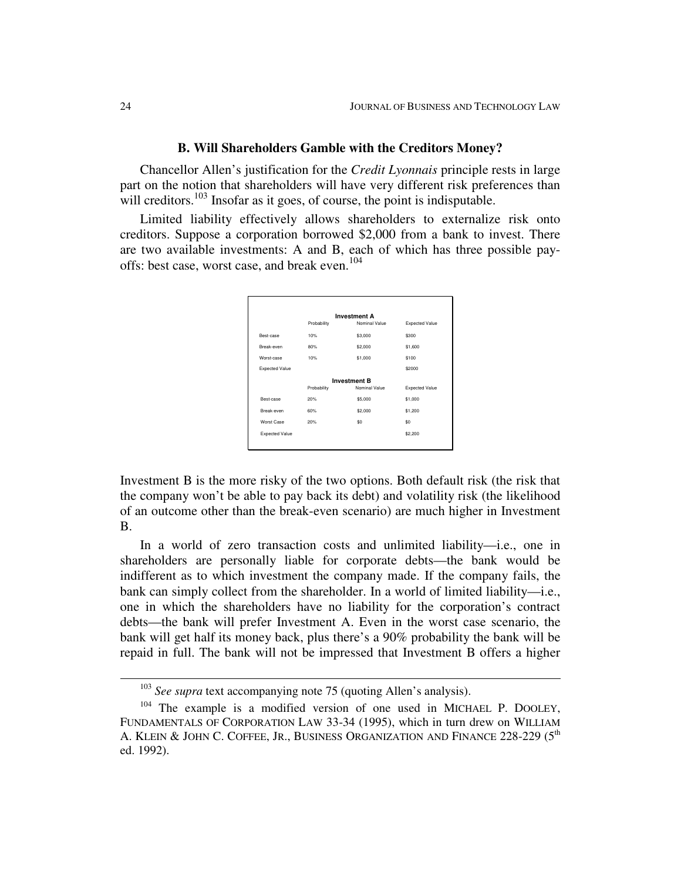#### **B. Will Shareholders Gamble with the Creditors Money?**

Chancellor Allen's justification for the *Credit Lyonnais* principle rests in large part on the notion that shareholders will have very different risk preferences than will creditors.<sup>103</sup> Insofar as it goes, of course, the point is indisputable.

Limited liability effectively allows shareholders to externalize risk onto creditors. Suppose a corporation borrowed \$2,000 from a bank to invest. There are two available investments: A and B, each of which has three possible payoffs: best case, worst case, and break even. 104



Investment B is the more risky of the two options. Both default risk (the risk that the company won't be able to pay back its debt) and volatility risk (the likelihood of an outcome other than the break-even scenario) are much higher in Investment B.

In a world of zero transaction costs and unlimited liability—i.e., one in shareholders are personally liable for corporate debts—the bank would be indifferent as to which investment the company made. If the company fails, the bank can simply collect from the shareholder. In a world of limited liability—i.e., one in which the shareholders have no liability for the corporation's contract debts—the bank will prefer Investment A. Even in the worst case scenario, the bank will get half its money back, plus there's a 90% probability the bank will be repaid in full. The bank will not be impressed that Investment B offers a higher

<sup>103</sup> *See supra* text accompanying note 75 (quoting Allen's analysis).

 $104$  The example is a modified version of one used in MICHAEL P. DOOLEY, FUNDAMENTALS OF CORPORATION LAW 33-34 (1995), which in turn drew on WILLIAM A. KLEIN & JOHN C. COFFEE, JR., BUSINESS ORGANIZATION AND FINANCE 228-229 (5<sup>th</sup> ed. 1992).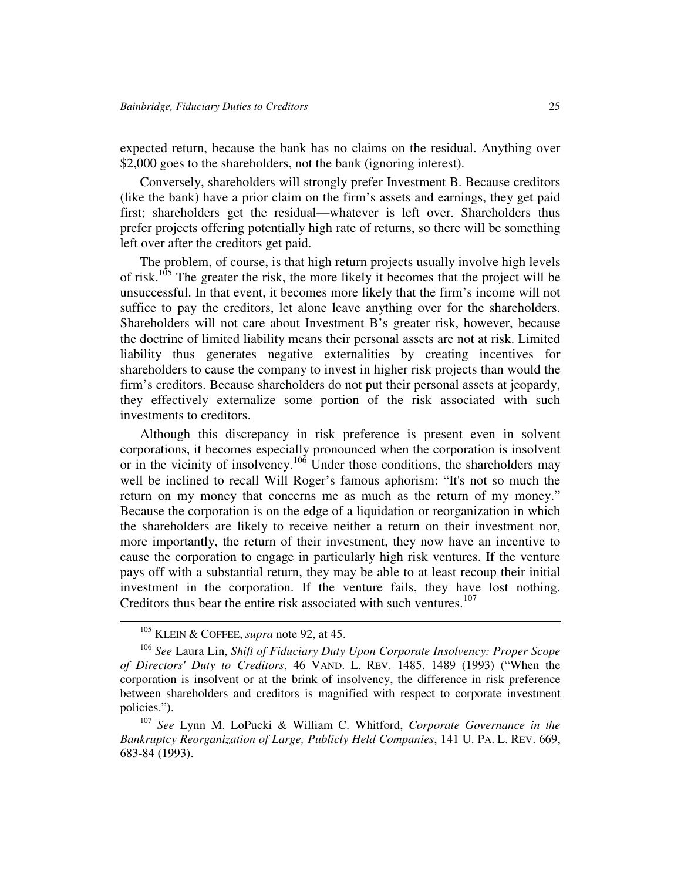expected return, because the bank has no claims on the residual. Anything over \$2,000 goes to the shareholders, not the bank (ignoring interest).

Conversely, shareholders will strongly prefer Investment B. Because creditors (like the bank) have a prior claim on the firm's assets and earnings, they get paid first; shareholders get the residual—whatever is left over. Shareholders thus prefer projects offering potentially high rate of returns, so there will be something left over after the creditors get paid.

The problem, of course, is that high return projects usually involve high levels of risk.<sup>105</sup> The greater the risk, the more likely it becomes that the project will be unsuccessful. In that event, it becomes more likely that the firm's income will not suffice to pay the creditors, let alone leave anything over for the shareholders. Shareholders will not care about Investment B's greater risk, however, because the doctrine of limited liability means their personal assets are not at risk. Limited liability thus generates negative externalities by creating incentives for shareholders to cause the company to invest in higher risk projects than would the firm's creditors. Because shareholders do not put their personal assets at jeopardy, they effectively externalize some portion of the risk associated with such investments to creditors.

Although this discrepancy in risk preference is present even in solvent corporations, it becomes especially pronounced when the corporation is insolvent or in the vicinity of insolvency.<sup>106</sup> Under those conditions, the shareholders may well be inclined to recall Will Roger's famous aphorism: "It's not so much the return on my money that concerns me as much as the return of my money." Because the corporation is on the edge of a liquidation or reorganization in which the shareholders are likely to receive neither a return on their investment nor, more importantly, the return of their investment, they now have an incentive to cause the corporation to engage in particularly high risk ventures. If the venture pays off with a substantial return, they may be able to at least recoup their initial investment in the corporation. If the venture fails, they have lost nothing. Creditors thus bear the entire risk associated with such ventures. 107

<sup>105</sup> KLEIN & COFFEE, *supra* note 92, at 45.

<sup>106</sup> *See* Laura Lin, *Shift of Fiduciary Duty Upon Corporate Insolvency: Proper Scope of Directors'Duty to Creditors*, 46 VAND. L. REV. 1485, 1489 (1993) ("When the corporation is insolvent or at the brink of insolvency, the difference in risk preference between shareholders and creditors is magnified with respect to corporate investment policies.").

<sup>107</sup> *See* Lynn M. LoPucki & William C. Whitford, *Corporate Governance in the Bankruptcy Reorganization of Large, Publicly Held Companies*, 141 U. PA. L. REV. 669, 683-84 (1993).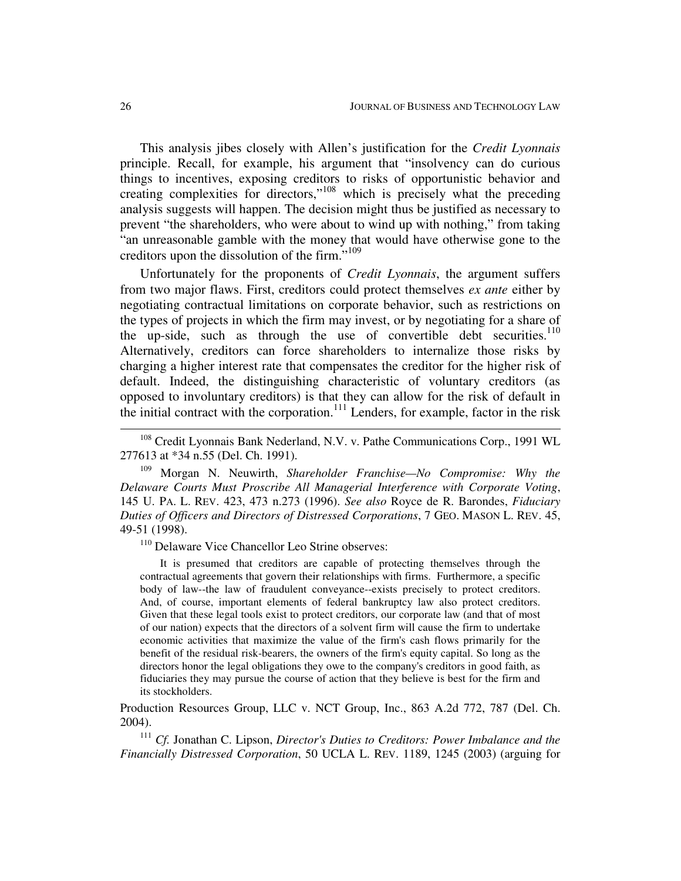This analysis jibes closely with Allen's justification for the *Credit Lyonnais* principle. Recall, for example, his argument that "insolvency can do curious things to incentives, exposing creditors to risks of opportunistic behavior and creating complexities for directors,"<sup>108</sup> which is precisely what the preceding analysis suggests will happen. The decision might thus be justified as necessary to prevent "the shareholders, who were about to wind up with nothing," from taking "an unreasonable gamble with the money that would have otherwise gone to the creditors upon the dissolution of the firm." 109

Unfortunately for the proponents of *Credit Lyonnais*, the argument suffers from two major flaws. First, creditors could protect themselves *ex ante* either by negotiating contractual limitations on corporate behavior, such as restrictions on the types of projects in which the firm may invest, or by negotiating for a share of the up-side, such as through the use of convertible debt securities.<sup>110</sup> Alternatively, creditors can force shareholders to internalize those risks by charging a higher interest rate that compensates the creditor for the higher risk of default. Indeed, the distinguishing characteristic of voluntary creditors (as opposed to involuntary creditors) is that they can allow for the risk of default in the initial contract with the corporation.<sup>111</sup> Lenders, for example, factor in the risk

<sup>109</sup> Morgan N. Neuwirth, *Shareholder Franchise—No Compromise: Why the Delaware Courts Must Proscribe All Managerial Interference with Corporate Voting*, 145 U. PA. L. REV. 423, 473 n.273 (1996). *See also* Royce de R. Barondes, *Fiduciary Duties of Officers and Directors of Distressed Corporations*, 7 GEO. MASON L. REV. 45, 49-51 (1998).

<sup>110</sup> Delaware Vice Chancellor Leo Strine observes:

It is presumed that creditors are capable of protecting themselves through the contractual agreements that govern their relationships with firms. Furthermore, a specific body of law--the law of fraudulent conveyance--exists precisely to protect creditors. And, of course, important elements of federal bankruptcy law also protect creditors. Given that these legal tools exist to protect creditors, our corporate law (and that of most of our nation) expects that the directors of a solvent firm will cause the firm to undertake economic activities that maximize the value of the firm's cash flows primarily for the benefit of the residual risk-bearers, the owners of the firm's equity capital. So long as the directors honor the legal obligations they owe to the company's creditors in good faith, as fiduciaries they may pursue the course of action that they believe is best for the firm and its stockholders.

Production Resources Group, LLC v. NCT Group, Inc., 863 A.2d 772, 787 (Del. Ch. 2004).

<sup>111</sup> *Cf.* Jonathan C. Lipson, *Director's Duties to Creditors: Power Imbalance and the Financially Distressed Corporation*, 50 UCLA L. REV. 1189, 1245 (2003) (arguing for

<sup>&</sup>lt;sup>108</sup> Credit Lyonnais Bank Nederland, N.V. v. Pathe Communications Corp., 1991 WL 277613 at \*34 n.55 (Del. Ch. 1991).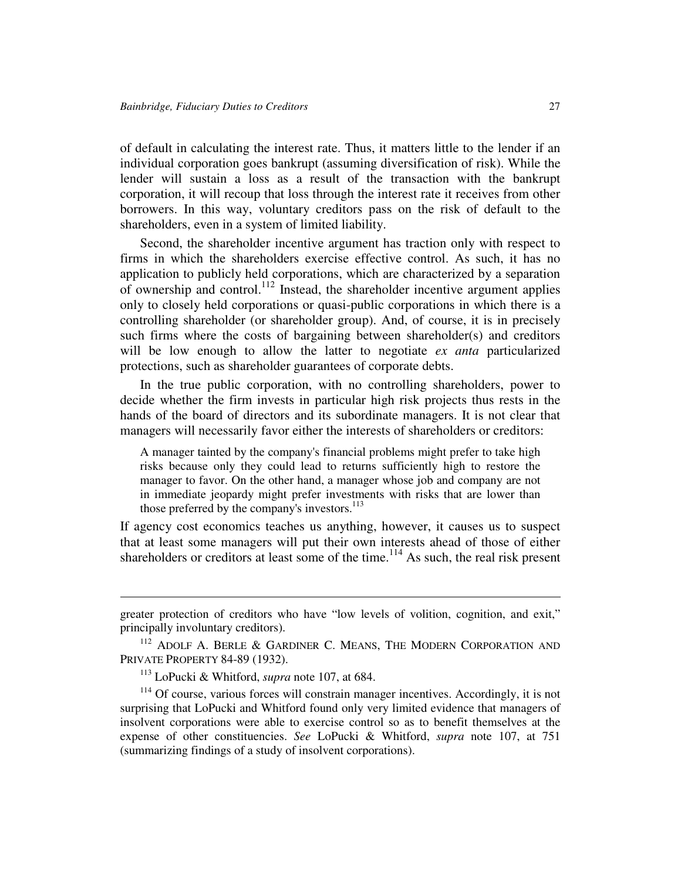of default in calculating the interest rate. Thus, it matters little to the lender if an individual corporation goes bankrupt (assuming diversification of risk). While the lender will sustain a loss as a result of the transaction with the bankrupt corporation, it will recoup that loss through the interest rate it receives from other borrowers. In this way, voluntary creditors pass on the risk of default to the shareholders, even in a system of limited liability.

Second, the shareholder incentive argument has traction only with respect to firms in which the shareholders exercise effective control. As such, it has no application to publicly held corporations, which are characterized by a separation of ownership and control.<sup>112</sup> Instead, the shareholder incentive argument applies only to closely held corporations or quasi-public corporations in which there is a controlling shareholder (or shareholder group). And, of course, it is in precisely such firms where the costs of bargaining between shareholder(s) and creditors will be low enough to allow the latter to negotiate *ex anta* particularized protections, such as shareholder guarantees of corporate debts.

In the true public corporation, with no controlling shareholders, power to decide whether the firm invests in particular high risk projects thus rests in the hands of the board of directors and its subordinate managers. It is not clear that managers will necessarily favor either the interests of shareholders or creditors:

A manager tainted by the company's financial problems might prefer to take high risks because only they could lead to returns sufficiently high to restore the manager to favor. On the other hand, a manager whose job and company are not in immediate jeopardy might prefer investments with risks that are lower than those preferred by the company's investors. 113

If agency cost economics teaches us anything, however, it causes us to suspect that at least some managers will put their own interests ahead of those of either shareholders or creditors at least some of the time.<sup>114</sup> As such, the real risk present

greater protection of creditors who have "low levels of volition, cognition, and exit," principally involuntary creditors).

<sup>&</sup>lt;sup>112</sup> ADOLF A. BERLE & GARDINER C. MEANS, THE MODERN CORPORATION AND PRIVATE PROPERTY 84-89 (1932).

<sup>113</sup> LoPucki & Whitford, *supra* note 107, at 684.

<sup>&</sup>lt;sup>114</sup> Of course, various forces will constrain manager incentives. Accordingly, it is not surprising that LoPucki and Whitford found only very limited evidence that managers of insolvent corporations were able to exercise control so as to benefit themselves at the expense of other constituencies. *See* LoPucki & Whitford, *supra* note 107, at 751 (summarizing findings of a study of insolvent corporations).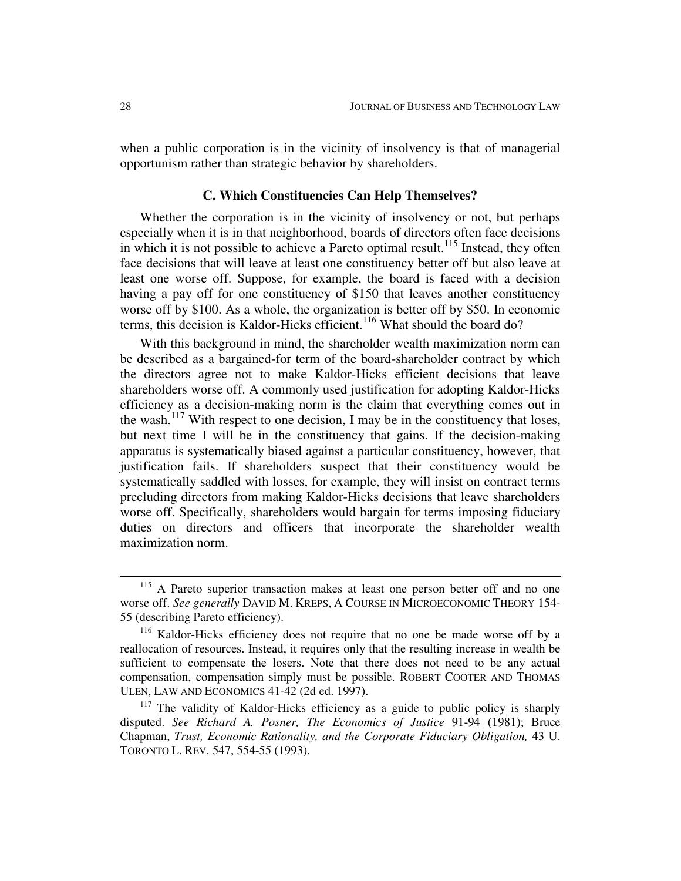when a public corporation is in the vicinity of insolvency is that of managerial opportunism rather than strategic behavior by shareholders.

## **C. Which Constituencies Can Help Themselves?**

Whether the corporation is in the vicinity of insolvency or not, but perhaps especially when it is in that neighborhood, boards of directors often face decisions in which it is not possible to achieve a Pareto optimal result.<sup>115</sup> Instead, they often face decisions that will leave at least one constituency better off but also leave at least one worse off. Suppose, for example, the board is faced with a decision having a pay off for one constituency of \$150 that leaves another constituency worse off by \$100. As a whole, the organization is better off by \$50. In economic terms, this decision is Kaldor-Hicks efficient. <sup>116</sup> What should the board do?

With this background in mind, the shareholder wealth maximization norm can be described as a bargained-for term of the board-shareholder contract by which the directors agree not to make Kaldor-Hicks efficient decisions that leave shareholders worse off. A commonly used justification for adopting Kaldor-Hicks efficiency as a decision-making norm is the claim that everything comes out in the wash.<sup>117</sup> With respect to one decision, I may be in the constituency that loses, but next time I will be in the constituency that gains. If the decision-making apparatus is systematically biased against a particular constituency, however, that justification fails. If shareholders suspect that their constituency would be systematically saddled with losses, for example, they will insist on contract terms precluding directors from making Kaldor-Hicks decisions that leave shareholders worse off. Specifically, shareholders would bargain for terms imposing fiduciary duties on directors and officers that incorporate the shareholder wealth maximization norm.

<sup>&</sup>lt;sup>115</sup> A Pareto superior transaction makes at least one person better off and no one worse off. *See generally* DAVID M. KREPS, A COURSE IN MICROECONOMIC THEORY 154- 55 (describing Pareto efficiency).

<sup>&</sup>lt;sup>116</sup> Kaldor-Hicks efficiency does not require that no one be made worse off by a reallocation of resources. Instead, it requires only that the resulting increase in wealth be sufficient to compensate the losers. Note that there does not need to be any actual compensation, compensation simply must be possible. ROBERT COOTER AND THOMAS ULEN, LAW AND ECONOMICS 41-42 (2d ed. 1997).

 $117$  The validity of Kaldor-Hicks efficiency as a guide to public policy is sharply disputed. *See Richard A. Posner, The Economics of Justice* 91-94 (1981); Bruce Chapman, *Trust, Economic Rationality, and the Corporate Fiduciary Obligation,* 43 U. TORONTO L. REV. 547, 554-55 (1993).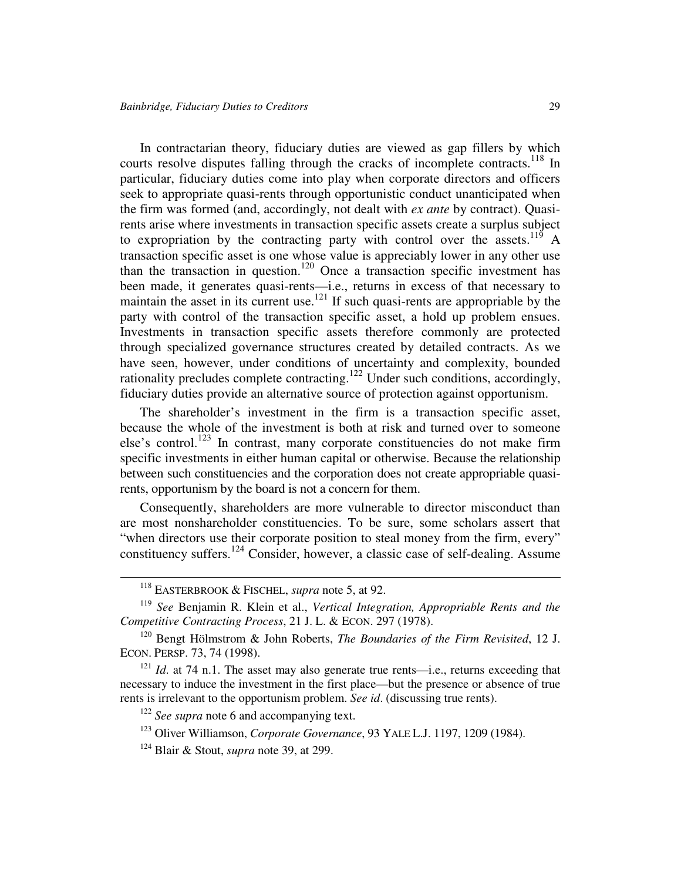In contractarian theory, fiduciary duties are viewed as gap fillers by which courts resolve disputes falling through the cracks of incomplete contracts.<sup>118</sup> In particular, fiduciary duties come into play when corporate directors and officers seek to appropriate quasi-rents through opportunistic conduct unanticipated when the firm was formed (and, accordingly, not dealt with *ex ante* by contract). Quasirents arise where investments in transaction specific assets create a surplus subject to expropriation by the contracting party with control over the assets.<sup>119</sup> A transaction specific asset is one whose value is appreciably lower in any other use than the transaction in question.<sup>120</sup> Once a transaction specific investment has been made, it generates quasi-rents—i.e., returns in excess of that necessary to maintain the asset in its current use.<sup>121</sup> If such quasi-rents are appropriable by the party with control of the transaction specific asset, a hold up problem ensues. Investments in transaction specific assets therefore commonly are protected through specialized governance structures created by detailed contracts. As we have seen, however, under conditions of uncertainty and complexity, bounded rationality precludes complete contracting.<sup>122</sup> Under such conditions, accordingly, fiduciary duties provide an alternative source of protection against opportunism.

The shareholder's investment in the firm is a transaction specific asset, because the whole of the investment is both at risk and turned over to someone else's control.<sup>123</sup> In contrast, many corporate constituencies do not make firm specific investments in either human capital or otherwise. Because the relationship between such constituencies and the corporation does not create appropriable quasirents, opportunism by the board is not a concern for them.

Consequently, shareholders are more vulnerable to director misconduct than are most nonshareholder constituencies. To be sure, some scholars assert that "when directors use their corporate position to steal money from the firm, every" constituency suffers.<sup>124</sup> Consider, however, a classic case of self-dealing. Assume

<sup>118</sup> EASTERBROOK & FISCHEL, *supra* note 5, at 92.

<sup>119</sup> *See* Benjamin R. Klein et al., *Vertical Integration, Appropriable Rents and the Competitive Contracting Process*, 21 J. L. & ECON. 297 (1978).

<sup>120</sup> Bengt Hölmstrom & John Roberts, *The Boundaries of the Firm Revisited*, 12 J. ECON. PERSP. 73, 74 (1998).

<sup>&</sup>lt;sup>121</sup> *Id.* at 74 n.1. The asset may also generate true rents—i.e., returns exceeding that necessary to induce the investment in the first place—but the presence or absence of true rents is irrelevant to the opportunism problem. *See id*. (discussing true rents).

<sup>122</sup> *See supra* note 6 and accompanying text.

<sup>123</sup> Oliver Williamson, *Corporate Governance*, 93 YALE L.J. 1197, 1209 (1984).

<sup>124</sup> Blair & Stout, *supra* note 39, at 299.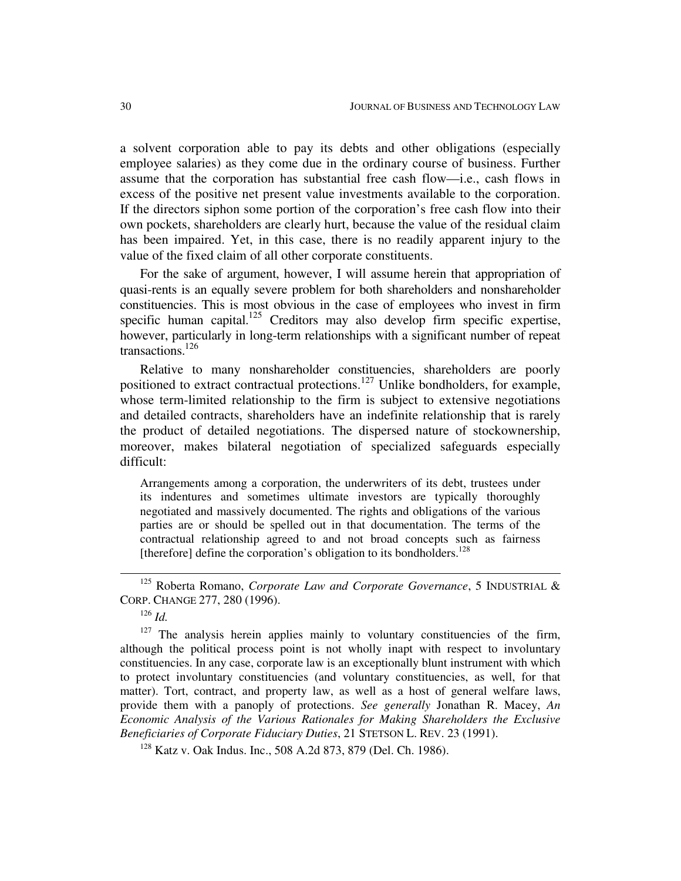a solvent corporation able to pay its debts and other obligations (especially employee salaries) as they come due in the ordinary course of business. Further assume that the corporation has substantial free cash flow—i.e., cash flows in excess of the positive net present value investments available to the corporation. If the directors siphon some portion of the corporation's free cash flow into their own pockets, shareholders are clearly hurt, because the value of the residual claim has been impaired. Yet, in this case, there is no readily apparent injury to the value of the fixed claim of all other corporate constituents.

For the sake of argument, however, I will assume herein that appropriation of quasi-rents is an equally severe problem for both shareholders and nonshareholder constituencies. This is most obvious in the case of employees who invest in firm specific human capital.<sup>125</sup> Creditors may also develop firm specific expertise, however, particularly in long-term relationships with a significant number of repeat transactions. 126

Relative to many nonshareholder constituencies, shareholders are poorly positioned to extract contractual protections.<sup>127</sup> Unlike bondholders, for example, whose term-limited relationship to the firm is subject to extensive negotiations and detailed contracts, shareholders have an indefinite relationship that is rarely the product of detailed negotiations. The dispersed nature of stockownership, moreover, makes bilateral negotiation of specialized safeguards especially difficult:

Arrangements among a corporation, the underwriters of its debt, trustees under its indentures and sometimes ultimate investors are typically thoroughly negotiated and massively documented. The rights and obligations of the various parties are or should be spelled out in that documentation. The terms of the contractual relationship agreed to and not broad concepts such as fairness [therefore] define the corporation's obligation to its bondholders.<sup>128</sup>

126 *Id.*

 $127$  The analysis herein applies mainly to voluntary constituencies of the firm, although the political process point is not wholly inapt with respect to involuntary constituencies. In any case, corporate law is an exceptionally blunt instrument with which to protect involuntary constituencies (and voluntary constituencies, as well, for that matter). Tort, contract, and property law, as well as a host of general welfare laws, provide them with a panoply of protections. *See generally* Jonathan R. Macey, *An Economic Analysis of the Various Rationales for Making Shareholders the Exclusive Beneficiaries of Corporate Fiduciary Duties*, 21 STETSON L. REV. 23 (1991).

<sup>128</sup> Katz v. Oak Indus. Inc., 508 A.2d 873, 879 (Del. Ch. 1986).

<sup>125</sup> Roberta Romano, *Corporate Law and Corporate Governance*, 5 INDUSTRIAL & CORP. CHANGE 277, 280 (1996).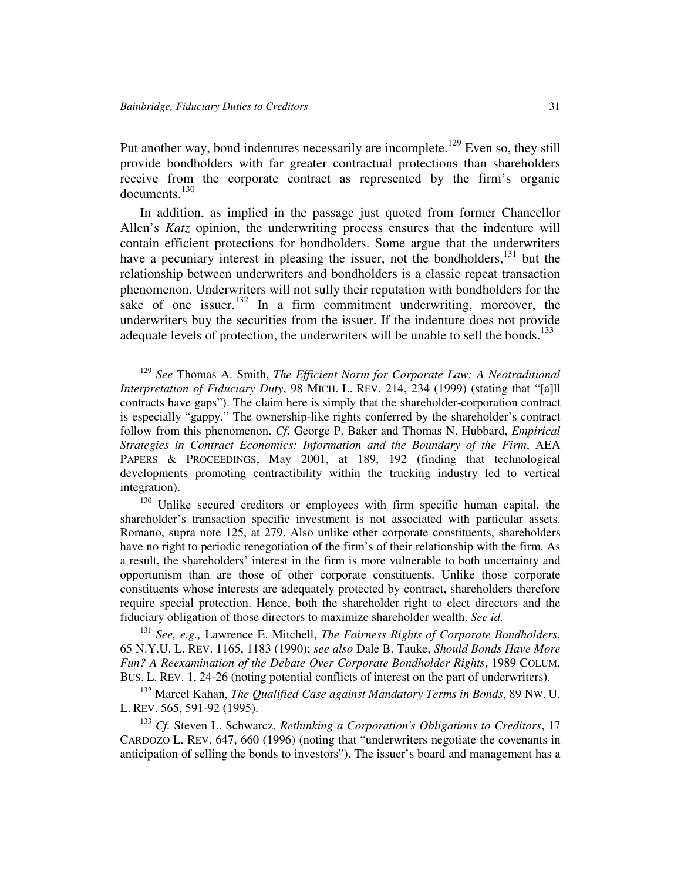Put another way, bond indentures necessarily are incomplete.<sup>129</sup> Even so, they still provide bondholders with far greater contractual protections than shareholders receive from the corporate contract as represented by the firm's organic documents. 130

In addition, as implied in the passage just quoted from former Chancellor Allen's *Katz* opinion, the underwriting process ensures that the indenture will contain efficient protections for bondholders. Some argue that the underwriters have a pecuniary interest in pleasing the issuer, not the bondholders,<sup>131</sup> but the relationship between underwriters and bondholders is a classic repeat transaction phenomenon. Underwriters will not sully their reputation with bondholders for the sake of one issuer.<sup>132</sup> In a firm commitment underwriting, moreover, the underwriters buy the securities from the issuer. If the indenture does not provide adequate levels of protection, the underwriters will be unable to sell the bonds.<sup>133</sup>

<sup>130</sup> Unlike secured creditors or employees with firm specific human capital, the shareholder's transaction specific investment is not associated with particular assets. Romano, supra note 125, at 279. Also unlike other corporate constituents, shareholders have no right to periodic renegotiation of the firm's of their relationship with the firm. As a result, the shareholders' interest in the firm is more vulnerable to both uncertainty and opportunism than are those of other corporate constituents. Unlike those corporate constituents whose interests are adequately protected by contract, shareholders therefore require special protection. Hence, both the shareholder right to elect directors and the fiduciary obligation of those directors to maximize shareholder wealth. *See id.*

131 *See, e.g.,* Lawrence E. Mitchell, *The Fairness Rights of Corporate Bondholders*, 65 N.Y.U. L. REV. 1165, 1183 (1990); *see also* Dale B. Tauke, *Should Bonds Have More Fun? A Reexamination of the Debate Over Corporate Bondholder Rights*, 1989 COLUM. BUS. L. REV. 1, 24-26 (noting potential conflicts of interest on the part of underwriters).

<sup>132</sup> Marcel Kahan, *The Qualified Case against Mandatory Terms in Bonds*, 89 NW. U. L. REV. 565, 591-92 (1995).

<sup>133</sup> *Cf.* Steven L. Schwarcz, *Rethinking a Corporation's Obligations to Creditors*, 17 CARDOZO L. REV. 647, 660 (1996) (noting that "underwriters negotiate the covenants in anticipation of selling the bonds to investors"). The issuer's board and management has a

<sup>129</sup> *See* Thomas A. Smith, *The Efficient Norm for Corporate Law: A Neotraditional Interpretation of Fiduciary Duty*, 98 MICH. L. REV. 214, 234 (1999) (stating that "[a]ll contracts have gaps"). The claim here is simply that the shareholder-corporation contract is especially "gappy." The ownership-like rights conferred by the shareholder's contract follow from this phenomenon. *Cf*. George P. Baker and Thomas N. Hubbard, *Empirical Strategies in Contract Economics: Information and the Boundary of the Firm*, AEA PAPERS & PROCEEDINGS, May 2001, at 189, 192 (finding that technological developments promoting contractibility within the trucking industry led to vertical integration).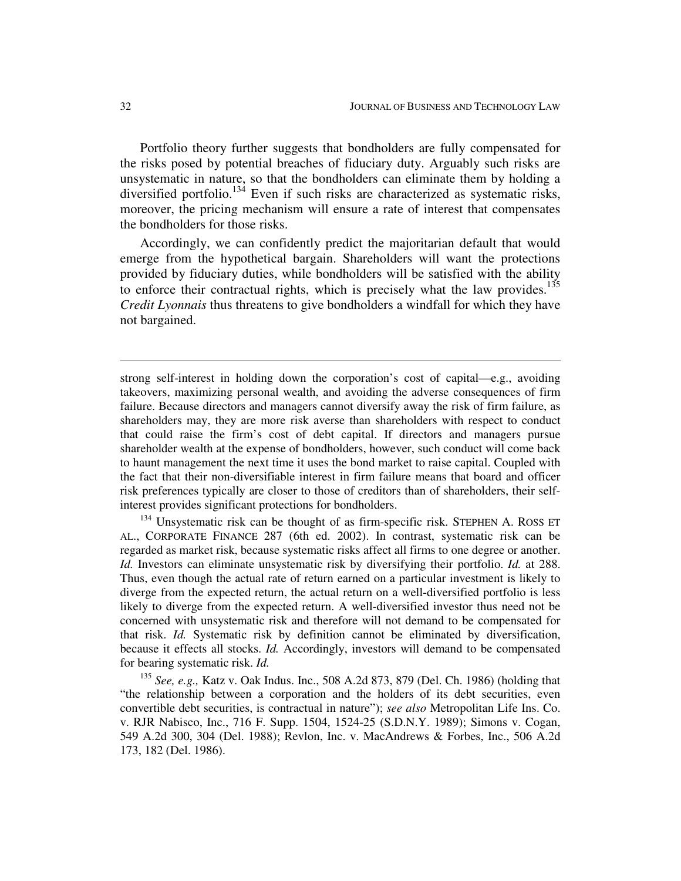Portfolio theory further suggests that bondholders are fully compensated for the risks posed by potential breaches of fiduciary duty. Arguably such risks are unsystematic in nature, so that the bondholders can eliminate them by holding a diversified portfolio.<sup>134</sup> Even if such risks are characterized as systematic risks, moreover, the pricing mechanism will ensure a rate of interest that compensates the bondholders for those risks.

Accordingly, we can confidently predict the majoritarian default that would emerge from the hypothetical bargain. Shareholders will want the protections provided by fiduciary duties, while bondholders will be satisfied with the ability to enforce their contractual rights, which is precisely what the law provides.<sup>135</sup> *Credit Lyonnais* thus threatens to give bondholders a windfall for which they have not bargained.

strong self-interest in holding down the corporation's cost of capital—e.g., avoiding takeovers, maximizing personal wealth, and avoiding the adverse consequences of firm failure. Because directors and managers cannot diversify away the risk of firm failure, as shareholders may, they are more risk averse than shareholders with respect to conduct that could raise the firm's cost of debt capital. If directors and managers pursue shareholder wealth at the expense of bondholders, however, such conduct will come back to haunt management the next time it uses the bond market to raise capital. Coupled with the fact that their non-diversifiable interest in firm failure means that board and officer risk preferences typically are closer to those of creditors than of shareholders, their selfinterest provides significant protections for bondholders.

<sup>134</sup> Unsystematic risk can be thought of as firm-specific risk. STEPHEN A. ROSS ET AL., CORPORATE FINANCE 287 (6th ed. 2002). In contrast, systematic risk can be regarded as market risk, because systematic risks affect all firms to one degree or another. *Id.* Investors can eliminate unsystematic risk by diversifying their portfolio. *Id.* at 288. Thus, even though the actual rate of return earned on a particular investment is likely to diverge from the expected return, the actual return on a well-diversified portfolio is less likely to diverge from the expected return. A well-diversified investor thus need not be concerned with unsystematic risk and therefore will not demand to be compensated for that risk. *Id.* Systematic risk by definition cannot be eliminated by diversification, because it effects all stocks. *Id.* Accordingly, investors will demand to be compensated for bearing systematic risk. *Id.*

135 *See, e.g.,* Katz v. Oak Indus. Inc., 508 A.2d 873, 879 (Del. Ch. 1986) (holding that "the relationship between a corporation and the holders of its debt securities, even convertible debt securities, is contractual in nature"); *see also* Metropolitan Life Ins. Co. v. RJR Nabisco, Inc., 716 F. Supp. 1504, 1524-25 (S.D.N.Y. 1989); Simons v. Cogan, 549 A.2d 300, 304 (Del. 1988); Revlon, Inc. v. MacAndrews & Forbes, Inc., 506 A.2d 173, 182 (Del. 1986).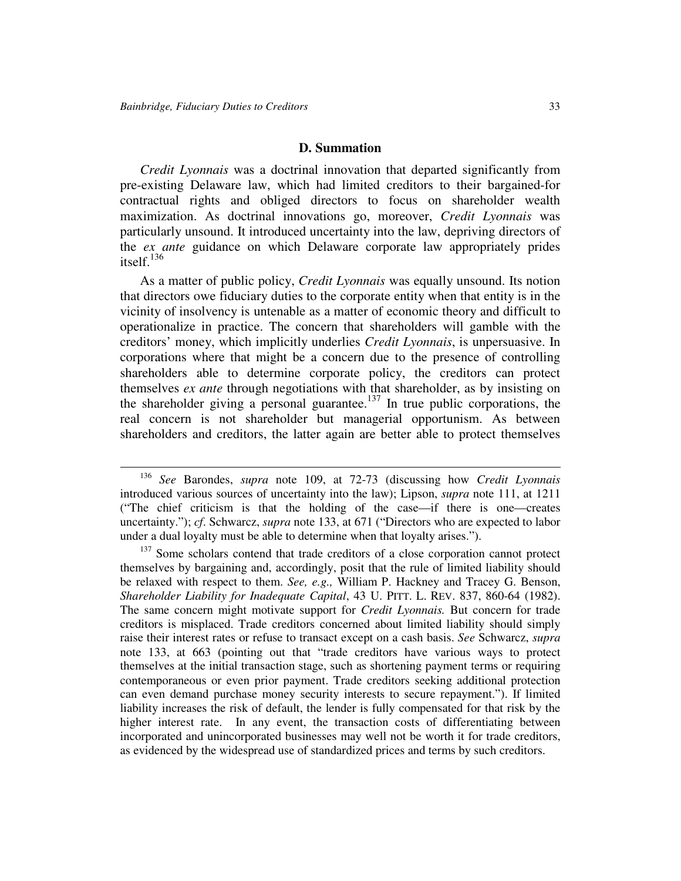#### **D. Summation**

*Credit Lyonnais* was a doctrinal innovation that departed significantly from pre-existing Delaware law, which had limited creditors to their bargained-for contractual rights and obliged directors to focus on shareholder wealth maximization. As doctrinal innovations go, moreover, *Credit Lyonnais* was particularly unsound. It introduced uncertainty into the law, depriving directors of the *ex ante* guidance on which Delaware corporate law appropriately prides itself. 136

As a matter of public policy, *Credit Lyonnais* was equally unsound. Its notion that directors owe fiduciary duties to the corporate entity when that entity is in the vicinity of insolvency is untenable as a matter of economic theory and difficult to operationalize in practice. The concern that shareholders will gamble with the creditors' money, which implicitly underlies *Credit Lyonnais*, is unpersuasive. In corporations where that might be a concern due to the presence of controlling shareholders able to determine corporate policy, the creditors can protect themselves *ex ante* through negotiations with that shareholder, as by insisting on the shareholder giving a personal guarantee. 137 In true public corporations, the real concern is not shareholder but managerial opportunism. As between shareholders and creditors, the latter again are better able to protect themselves

<sup>136</sup> *See* Barondes, *supra* note 109, at 72-73 (discussing how *Credit Lyonnais* introduced various sources of uncertainty into the law); Lipson, *supra* note 111, at 1211 ("The chief criticism is that the holding of the case—if there is one—creates uncertainty."); *cf*. Schwarcz, *supra* note 133, at 671 ("Directors who are expected to labor under a dual loyalty must be able to determine when that loyalty arises.").

<sup>&</sup>lt;sup>137</sup> Some scholars contend that trade creditors of a close corporation cannot protect themselves by bargaining and, accordingly, posit that the rule of limited liability should be relaxed with respect to them. *See, e.g.,* William P. Hackney and Tracey G. Benson, *Shareholder Liability for Inadequate Capital*, 43 U. PITT. L. REV. 837, 860-64 (1982). The same concern might motivate support for *Credit Lyonnais.* But concern for trade creditors is misplaced. Trade creditors concerned about limited liability should simply raise their interest rates or refuse to transact except on a cash basis. *See* Schwarcz, *supra* note 133, at 663 (pointing out that "trade creditors have various ways to protect themselves at the initial transaction stage, such as shortening payment terms or requiring contemporaneous or even prior payment. Trade creditors seeking additional protection can even demand purchase money security interests to secure repayment."). If limited liability increases the risk of default, the lender is fully compensated for that risk by the higher interest rate. In any event, the transaction costs of differentiating between incorporated and unincorporated businesses may well not be worth it for trade creditors, as evidenced by the widespread use of standardized prices and terms by such creditors.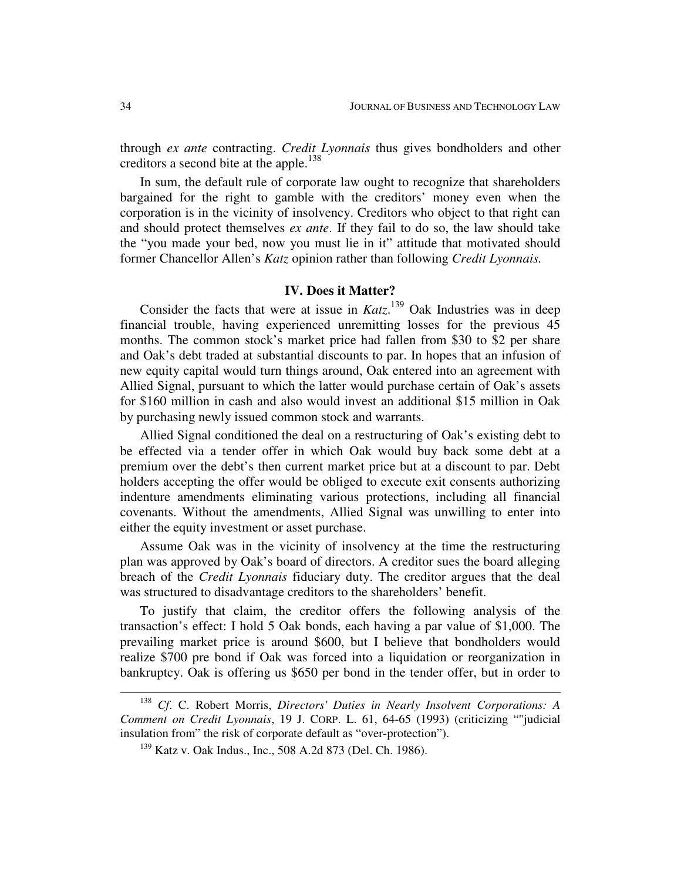through *ex ante* contracting. *Credit Lyonnais* thus gives bondholders and other creditors a second bite at the apple. 138

In sum, the default rule of corporate law ought to recognize that shareholders bargained for the right to gamble with the creditors' money even when the corporation is in the vicinity of insolvency. Creditors who object to that right can and should protect themselves *ex ante*. If they fail to do so, the law should take the "you made your bed, now you must lie in it" attitude that motivated should former Chancellor Allen's *Katz* opinion rather than following *Credit Lyonnais.*

#### **IV. Does it Matter?**

Consider the facts that were at issue in  $Katz$ <sup>139</sup> Oak Industries was in deep financial trouble, having experienced unremitting losses for the previous 45 months. The common stock's market price had fallen from \$30 to \$2 per share and Oak's debt traded at substantial discounts to par. In hopes that an infusion of new equity capital would turn things around, Oak entered into an agreement with Allied Signal, pursuant to which the latter would purchase certain of Oak's assets for \$160 million in cash and also would invest an additional \$15 million in Oak by purchasing newly issued common stock and warrants.

Allied Signal conditioned the deal on a restructuring of Oak's existing debt to be effected via a tender offer in which Oak would buy back some debt at a premium over the debt's then current market price but at a discount to par. Debt holders accepting the offer would be obliged to execute exit consents authorizing indenture amendments eliminating various protections, including all financial covenants. Without the amendments, Allied Signal was unwilling to enter into either the equity investment or asset purchase.

Assume Oak was in the vicinity of insolvency at the time the restructuring plan was approved by Oak's board of directors. A creditor sues the board alleging breach of the *Credit Lyonnais* fiduciary duty. The creditor argues that the deal was structured to disadvantage creditors to the shareholders' benefit.

To justify that claim, the creditor offers the following analysis of the transaction's effect: I hold 5 Oak bonds, each having a par value of \$1,000. The prevailing market price is around \$600, but I believe that bondholders would realize \$700 pre bond if Oak was forced into a liquidation or reorganization in bankruptcy. Oak is offering us \$650 per bond in the tender offer, but in order to

<sup>138</sup> *Cf*. C. Robert Morris, *Directors'Duties in Nearly Insolvent Corporations: A Comment on Credit Lyonnais*, 19 J. CORP. L. 61, 64-65 (1993) (criticizing ""judicial insulation from" the risk of corporate default as "over-protection").

<sup>139</sup> Katz v. Oak Indus., Inc., 508 A.2d 873 (Del. Ch. 1986).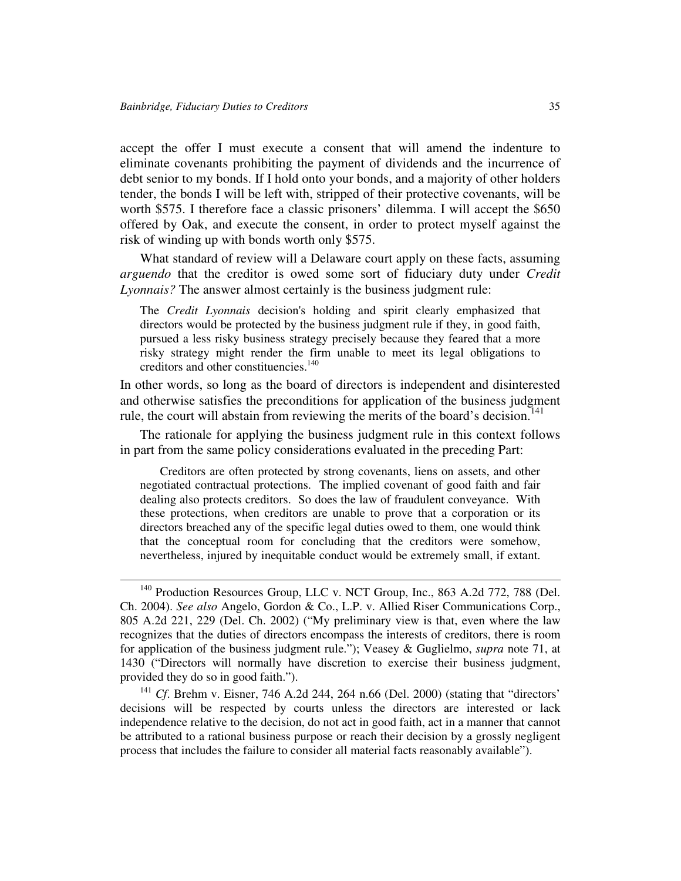accept the offer I must execute a consent that will amend the indenture to eliminate covenants prohibiting the payment of dividends and the incurrence of debt senior to my bonds. If I hold onto your bonds, and a majority of other holders tender, the bonds I will be left with, stripped of their protective covenants, will be worth \$575. I therefore face a classic prisoners' dilemma. I will accept the \$650 offered by Oak, and execute the consent, in order to protect myself against the risk of winding up with bonds worth only \$575.

What standard of review will a Delaware court apply on these facts, assuming *arguendo* that the creditor is owed some sort of fiduciary duty under *Credit Lyonnais?* The answer almost certainly is the business judgment rule:

The *Credit Lyonnais* decision's holding and spirit clearly emphasized that directors would be protected by the business judgment rule if they, in good faith, pursued a less risky business strategy precisely because they feared that a more risky strategy might render the firm unable to meet its legal obligations to creditors and other constituencies. 140

In other words, so long as the board of directors is independent and disinterested and otherwise satisfies the preconditions for application of the business judgment rule, the court will abstain from reviewing the merits of the board's decision.<sup>141</sup>

The rationale for applying the business judgment rule in this context follows in part from the same policy considerations evaluated in the preceding Part:

Creditors are often protected by strong covenants, liens on assets, and other negotiated contractual protections. The implied covenant of good faith and fair dealing also protects creditors. So does the law of fraudulent conveyance. With these protections, when creditors are unable to prove that a corporation or its directors breached any of the specific legal duties owed to them, one would think that the conceptual room for concluding that the creditors were somehow, nevertheless, injured by inequitable conduct would be extremely small, if extant.

<sup>&</sup>lt;sup>140</sup> Production Resources Group, LLC v. NCT Group, Inc., 863 A.2d 772, 788 (Del. Ch. 2004). *See also* Angelo, Gordon & Co., L.P. v. Allied Riser Communications Corp., 805 A.2d 221, 229 (Del. Ch. 2002) ("My preliminary view is that, even where the law recognizes that the duties of directors encompass the interests of creditors, there is room for application of the business judgment rule."); Veasey & Guglielmo, *supra* note 71, at 1430 ("Directors will normally have discretion to exercise their business judgment, provided they do so in good faith.").

<sup>&</sup>lt;sup>141</sup> *Cf*. Brehm v. Eisner, 746 A.2d 244, 264 n.66 (Del. 2000) (stating that "directors' decisions will be respected by courts unless the directors are interested or lack independence relative to the decision, do not act in good faith, act in a manner that cannot be attributed to a rational business purpose or reach their decision by a grossly negligent process that includes the failure to consider all material facts reasonably available").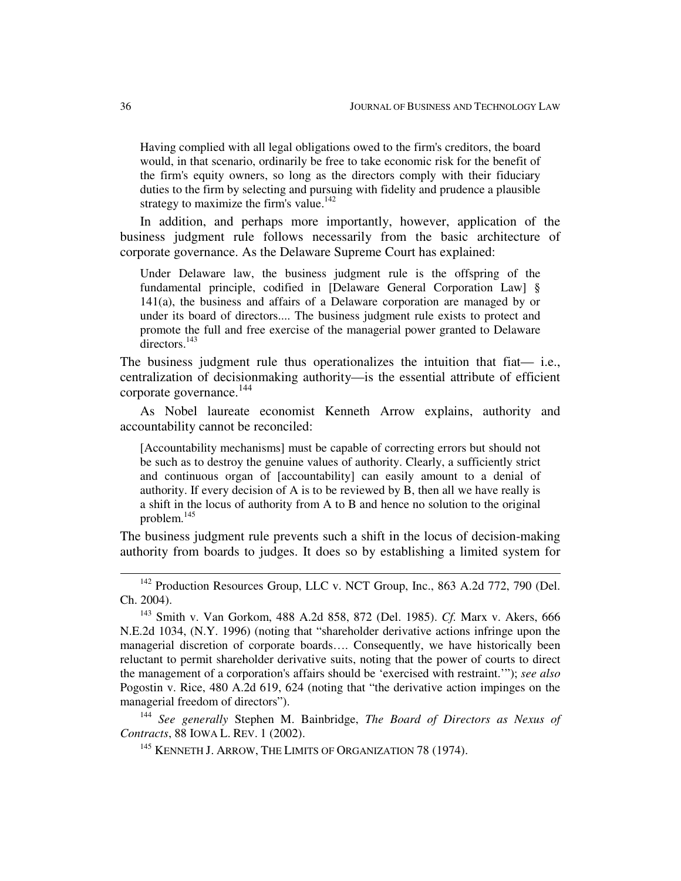Having complied with all legal obligations owed to the firm's creditors, the board would, in that scenario, ordinarily be free to take economic risk for the benefit of the firm's equity owners, so long as the directors comply with their fiduciary duties to the firm by selecting and pursuing with fidelity and prudence a plausible strategy to maximize the firm's value.<sup>142</sup>

In addition, and perhaps more importantly, however, application of the business judgment rule follows necessarily from the basic architecture of corporate governance. As the Delaware Supreme Court has explained:

Under Delaware law, the business judgment rule is the offspring of the fundamental principle, codified in [Delaware General Corporation Law] § 141(a), the business and affairs of a Delaware corporation are managed by or under its board of directors.... The business judgment rule exists to protect and promote the full and free exercise of the managerial power granted to Delaware directors.<sup>143</sup>

The business judgment rule thus operationalizes the intuition that fiat— i.e., centralization of decisionmaking authority—is the essential attribute of efficient corporate governance. 144

As Nobel laureate economist Kenneth Arrow explains, authority and accountability cannot be reconciled:

[Accountability mechanisms] must be capable of correcting errors but should not be such as to destroy the genuine values of authority. Clearly, a sufficiently strict and continuous organ of [accountability] can easily amount to a denial of authority. If every decision of A is to be reviewed by B, then all we have really is a shift in the locus of authority from A to B and hence no solution to the original problem. 145

The business judgment rule prevents such a shift in the locus of decision-making authority from boards to judges. It does so by establishing a limited system for

144 *See generally* Stephen M. Bainbridge, *The Board of Directors as Nexus of Contracts*, 88 IOWA L. REV. 1 (2002).

<sup>145</sup> KENNETH J. ARROW, THE LIMITS OF ORGANIZATION 78 (1974).

<sup>&</sup>lt;sup>142</sup> Production Resources Group, LLC v. NCT Group, Inc., 863 A.2d 772, 790 (Del. Ch. 2004).

<sup>143</sup> Smith v. Van Gorkom, 488 A.2d 858, 872 (Del. 1985). *Cf.* Marx v. Akers, 666 N.E.2d 1034, (N.Y. 1996) (noting that "shareholder derivative actions infringe upon the managerial discretion of corporate boards…. Consequently, we have historically been reluctant to permit shareholder derivative suits, noting that the power of courts to direct the management of a corporation's affairs should be 'exercised with restraint.'"); *see also* Pogostin v. Rice, 480 A.2d 619, 624 (noting that "the derivative action impinges on the managerial freedom of directors").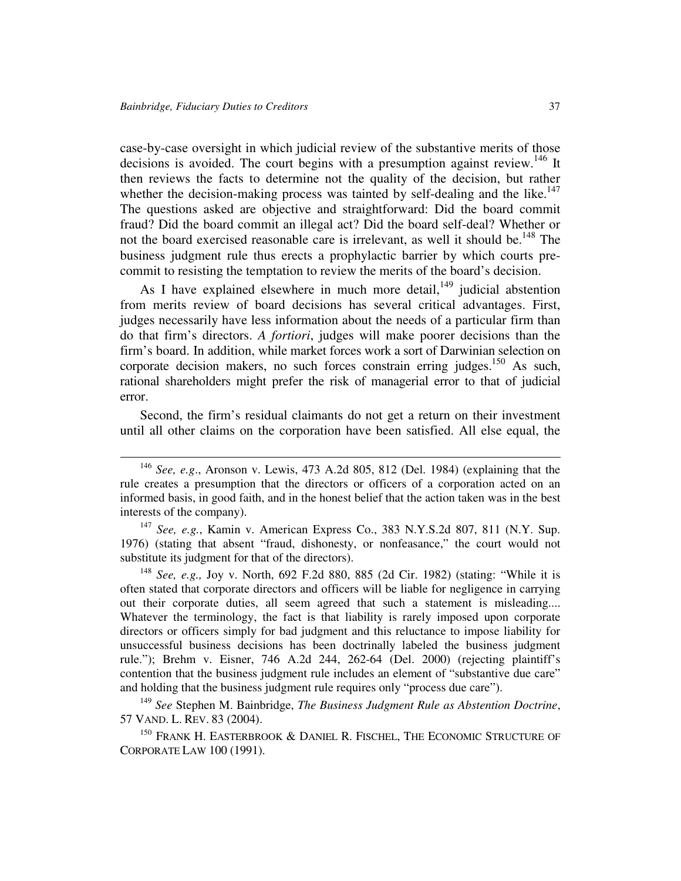case-by-case oversight in which judicial review of the substantive merits of those decisions is avoided. The court begins with a presumption against review.<sup>146</sup> It then reviews the facts to determine not the quality of the decision, but rather whether the decision-making process was tainted by self-dealing and the like.<sup>147</sup> The questions asked are objective and straightforward: Did the board commit fraud? Did the board commit an illegal act? Did the board self-deal? Whether or not the board exercised reasonable care is irrelevant, as well it should be.<sup>148</sup> The business judgment rule thus erects a prophylactic barrier by which courts precommit to resisting the temptation to review the merits of the board's decision.

As I have explained elsewhere in much more detail,  $149$  judicial abstention from merits review of board decisions has several critical advantages. First, judges necessarily have less information about the needs of a particular firm than do that firm's directors. *A fortiori*, judges will make poorer decisions than the firm's board. In addition, while market forces work a sort of Darwinian selection on corporate decision makers, no such forces constrain erring judges.<sup>150</sup> As such, rational shareholders might prefer the risk of managerial error to that of judicial error.

Second, the firm's residual claimants do not get a return on their investment until all other claims on the corporation have been satisfied. All else equal, the

147 *See, e.g.*, Kamin v. American Express Co., 383 N.Y.S.2d 807, 811 (N.Y. Sup. 1976) (stating that absent "fraud, dishonesty, or nonfeasance," the court would not substitute its judgment for that of the directors).

148 *See, e.g.,* Joy v. North, 692 F.2d 880, 885 (2d Cir. 1982) (stating: "While it is often stated that corporate directors and officers will be liable for negligence in carrying out their corporate duties, all seem agreed that such a statement is misleading.... Whatever the terminology, the fact is that liability is rarely imposed upon corporate directors or officers simply for bad judgment and this reluctance to impose liability for unsuccessful business decisions has been doctrinally labeled the business judgment rule."); Brehm v. Eisner, 746 A.2d 244, 262-64 (Del. 2000) (rejecting plaintiff's contention that the business judgment rule includes an element of "substantive due care" and holding that the business judgment rule requires only "process due care").

149 *See* Stephen M. Bainbridge, *The Business Judgment Rule as Abstention Doctrine*, 57 VAND. L. REV. 83 (2004).

<sup>150</sup> FRANK H. EASTERBROOK & DANIEL R. FISCHEL, THE ECONOMIC STRUCTURE OF CORPORATE LAW 100 (1991).

<sup>146</sup> *See, e.g*., Aronson v. Lewis, 473 A.2d 805, 812 (Del. 1984) (explaining that the rule creates a presumption that the directors or officers of a corporation acted on an informed basis, in good faith, and in the honest belief that the action taken was in the best interests of the company).